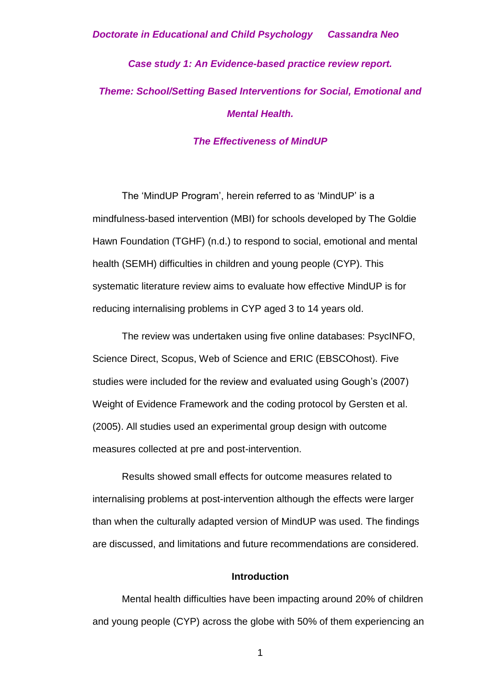# *Case study 1: An Evidence-based practice review report. Theme: School/Setting Based Interventions for Social, Emotional and Mental Health.*

#### *The Effectiveness of MindUP*

The 'MindUP Program', herein referred to as 'MindUP' is a mindfulness-based intervention (MBI) for schools developed by The Goldie Hawn Foundation (TGHF) (n.d.) to respond to social, emotional and mental health (SEMH) difficulties in children and young people (CYP). This systematic literature review aims to evaluate how effective MindUP is for reducing internalising problems in CYP aged 3 to 14 years old.

The review was undertaken using five online databases: PsycINFO, Science Direct, Scopus, Web of Science and ERIC (EBSCOhost). Five studies were included for the review and evaluated using Gough's (2007) Weight of Evidence Framework and the coding protocol by Gersten et al. (2005). All studies used an experimental group design with outcome measures collected at pre and post-intervention.

Results showed small effects for outcome measures related to internalising problems at post-intervention although the effects were larger than when the culturally adapted version of MindUP was used. The findings are discussed, and limitations and future recommendations are considered.

#### **Introduction**

Mental health difficulties have been impacting around 20% of children and young people (CYP) across the globe with 50% of them experiencing an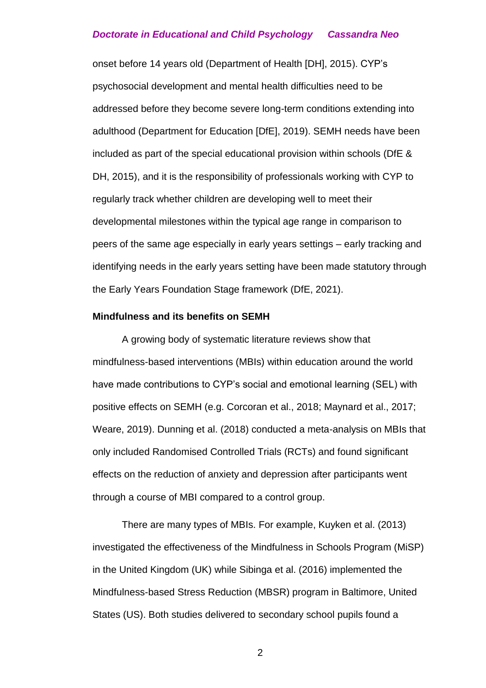onset before 14 years old (Department of Health [DH], 2015). CYP's psychosocial development and mental health difficulties need to be addressed before they become severe long-term conditions extending into adulthood (Department for Education [DfE], 2019). SEMH needs have been included as part of the special educational provision within schools (DfE & DH, 2015), and it is the responsibility of professionals working with CYP to regularly track whether children are developing well to meet their developmental milestones within the typical age range in comparison to peers of the same age especially in early years settings – early tracking and identifying needs in the early years setting have been made statutory through the Early Years Foundation Stage framework (DfE, 2021).

#### **Mindfulness and its benefits on SEMH**

A growing body of systematic literature reviews show that mindfulness-based interventions (MBIs) within education around the world have made contributions to CYP's social and emotional learning (SEL) with positive effects on SEMH (e.g. Corcoran et al., 2018; Maynard et al., 2017; Weare, 2019). Dunning et al. (2018) conducted a meta-analysis on MBIs that only included Randomised Controlled Trials (RCTs) and found significant effects on the reduction of anxiety and depression after participants went through a course of MBI compared to a control group.

There are many types of MBIs. For example, Kuyken et al. (2013) investigated the effectiveness of the Mindfulness in Schools Program (MiSP) in the United Kingdom (UK) while Sibinga et al. (2016) implemented the Mindfulness-based Stress Reduction (MBSR) program in Baltimore, United States (US). Both studies delivered to secondary school pupils found a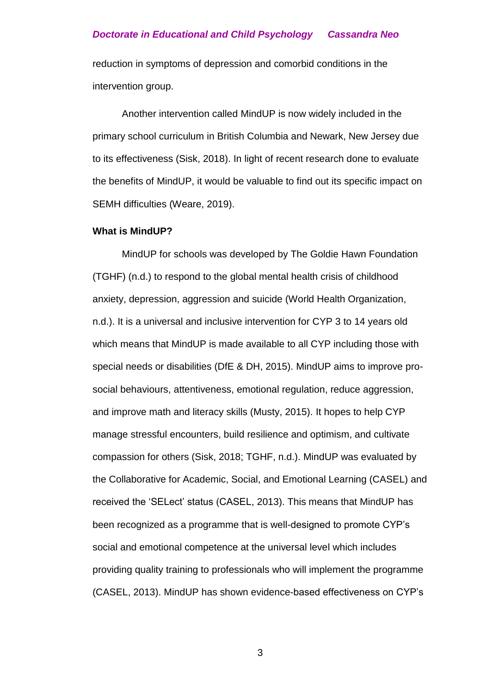reduction in symptoms of depression and comorbid conditions in the intervention group.

Another intervention called MindUP is now widely included in the primary school curriculum in British Columbia and Newark, New Jersey due to its effectiveness (Sisk, 2018). In light of recent research done to evaluate the benefits of MindUP, it would be valuable to find out its specific impact on SEMH difficulties (Weare, 2019).

#### **What is MindUP?**

MindUP for schools was developed by The Goldie Hawn Foundation (TGHF) (n.d.) to respond to the global mental health crisis of childhood anxiety, depression, aggression and suicide (World Health Organization, n.d.). It is a universal and inclusive intervention for CYP 3 to 14 years old which means that MindUP is made available to all CYP including those with special needs or disabilities (DfE & DH, 2015). MindUP aims to improve prosocial behaviours, attentiveness, emotional regulation, reduce aggression, and improve math and literacy skills (Musty, 2015). It hopes to help CYP manage stressful encounters, build resilience and optimism, and cultivate compassion for others (Sisk, 2018; TGHF, n.d.). MindUP was evaluated by the Collaborative for Academic, Social, and Emotional Learning (CASEL) and received the 'SELect' status (CASEL, 2013). This means that MindUP has been recognized as a programme that is well-designed to promote CYP's social and emotional competence at the universal level which includes providing quality training to professionals who will implement the programme (CASEL, 2013). MindUP has shown evidence-based effectiveness on CYP's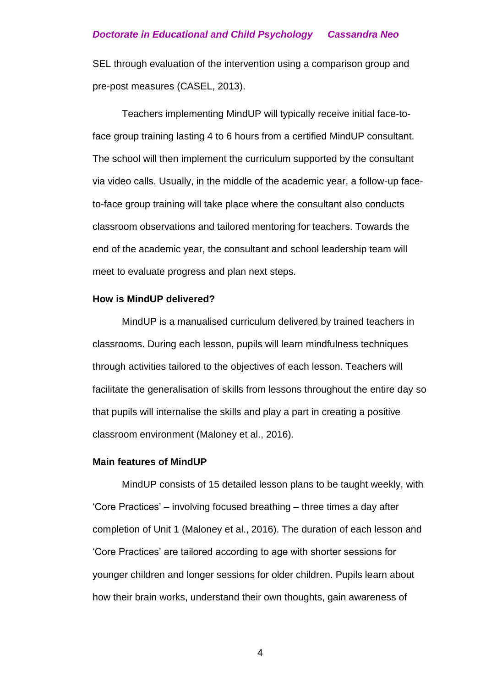SEL through evaluation of the intervention using a comparison group and pre-post measures (CASEL, 2013).

Teachers implementing MindUP will typically receive initial face-toface group training lasting 4 to 6 hours from a certified MindUP consultant. The school will then implement the curriculum supported by the consultant via video calls. Usually, in the middle of the academic year, a follow-up faceto-face group training will take place where the consultant also conducts classroom observations and tailored mentoring for teachers. Towards the end of the academic year, the consultant and school leadership team will meet to evaluate progress and plan next steps.

#### **How is MindUP delivered?**

MindUP is a manualised curriculum delivered by trained teachers in classrooms. During each lesson, pupils will learn mindfulness techniques through activities tailored to the objectives of each lesson. Teachers will facilitate the generalisation of skills from lessons throughout the entire day so that pupils will internalise the skills and play a part in creating a positive classroom environment (Maloney et al., 2016).

#### **Main features of MindUP**

MindUP consists of 15 detailed lesson plans to be taught weekly, with 'Core Practices' – involving focused breathing – three times a day after completion of Unit 1 (Maloney et al., 2016). The duration of each lesson and 'Core Practices' are tailored according to age with shorter sessions for younger children and longer sessions for older children. Pupils learn about how their brain works, understand their own thoughts, gain awareness of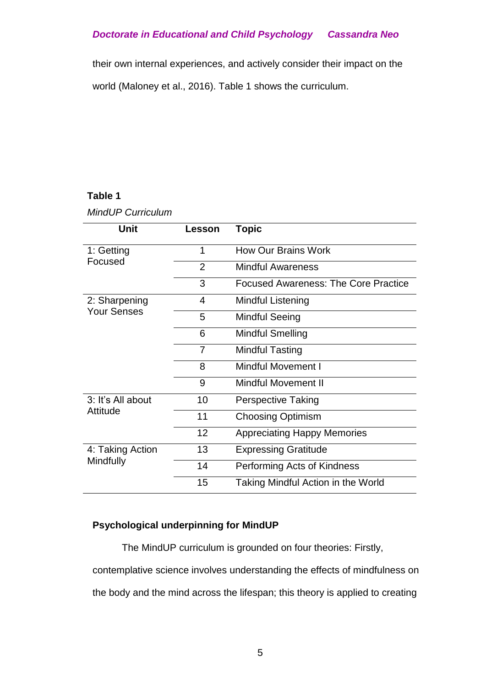their own internal experiences, and actively consider their impact on the

world (Maloney et al., 2016). Table 1 shows the curriculum.

### **Table 1**

#### *MindUP Curriculum*

| Unit               | Lesson         | Topic                                       |
|--------------------|----------------|---------------------------------------------|
| 1: Getting         | 1              | <b>How Our Brains Work</b>                  |
| Focused            | $\overline{2}$ | <b>Mindful Awareness</b>                    |
|                    | 3              | <b>Focused Awareness: The Core Practice</b> |
| 2: Sharpening      | 4              | <b>Mindful Listening</b>                    |
| <b>Your Senses</b> | 5              | <b>Mindful Seeing</b>                       |
|                    | 6              | <b>Mindful Smelling</b>                     |
|                    | $\overline{7}$ | <b>Mindful Tasting</b>                      |
|                    | 8              | <b>Mindful Movement I</b>                   |
|                    | 9              | <b>Mindful Movement II</b>                  |
| 3: It's All about  | 10             | <b>Perspective Taking</b>                   |
| Attitude           | 11             | <b>Choosing Optimism</b>                    |
|                    | 12             | <b>Appreciating Happy Memories</b>          |
| 4: Taking Action   | 13             | <b>Expressing Gratitude</b>                 |
| Mindfully          | 14             | Performing Acts of Kindness                 |
|                    | 15             | Taking Mindful Action in the World          |

### **Psychological underpinning for MindUP**

The MindUP curriculum is grounded on four theories: Firstly, contemplative science involves understanding the effects of mindfulness on the body and the mind across the lifespan; this theory is applied to creating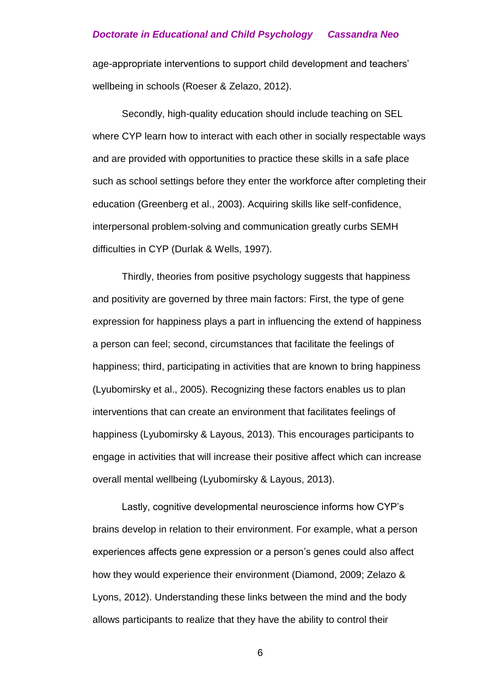age-appropriate interventions to support child development and teachers' wellbeing in schools (Roeser & Zelazo, 2012).

Secondly, high-quality education should include teaching on SEL where CYP learn how to interact with each other in socially respectable ways and are provided with opportunities to practice these skills in a safe place such as school settings before they enter the workforce after completing their education (Greenberg et al., 2003). Acquiring skills like self-confidence, interpersonal problem-solving and communication greatly curbs SEMH difficulties in CYP (Durlak & Wells, 1997).

Thirdly, theories from positive psychology suggests that happiness and positivity are governed by three main factors: First, the type of gene expression for happiness plays a part in influencing the extend of happiness a person can feel; second, circumstances that facilitate the feelings of happiness; third, participating in activities that are known to bring happiness (Lyubomirsky et al., 2005). Recognizing these factors enables us to plan interventions that can create an environment that facilitates feelings of happiness (Lyubomirsky & Layous, 2013). This encourages participants to engage in activities that will increase their positive affect which can increase overall mental wellbeing (Lyubomirsky & Layous, 2013).

Lastly, cognitive developmental neuroscience informs how CYP's brains develop in relation to their environment. For example, what a person experiences affects gene expression or a person's genes could also affect how they would experience their environment (Diamond, 2009; Zelazo & Lyons, 2012). Understanding these links between the mind and the body allows participants to realize that they have the ability to control their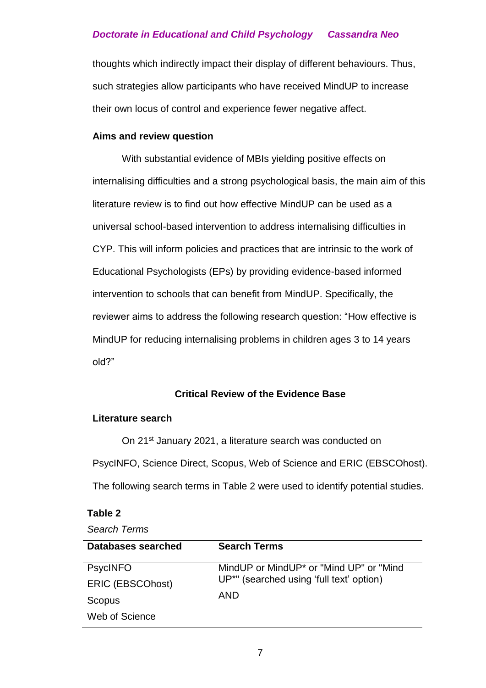thoughts which indirectly impact their display of different behaviours. Thus, such strategies allow participants who have received MindUP to increase their own locus of control and experience fewer negative affect.

#### **Aims and review question**

With substantial evidence of MBIs yielding positive effects on internalising difficulties and a strong psychological basis, the main aim of this literature review is to find out how effective MindUP can be used as a universal school-based intervention to address internalising difficulties in CYP. This will inform policies and practices that are intrinsic to the work of Educational Psychologists (EPs) by providing evidence-based informed intervention to schools that can benefit from MindUP. Specifically, the reviewer aims to address the following research question: "How effective is MindUP for reducing internalising problems in children ages 3 to 14 years old?"

#### **Critical Review of the Evidence Base**

#### **Literature search**

On 21st January 2021, a literature search was conducted on PsycINFO, Science Direct, Scopus, Web of Science and ERIC (EBSCOhost). The following search terms in Table 2 were used to identify potential studies.

#### **Table 2**

| Databases searched      | <b>Search Terms</b>                                  |
|-------------------------|------------------------------------------------------|
| <b>PsycINFO</b>         | MindUP or MindUP <sup>*</sup> or "Mind UP" or "Mind" |
| <b>ERIC (EBSCOhost)</b> | UP <sup>*"</sup> (searched using 'full text' option) |
|                         |                                                      |
| Scopus                  | AND                                                  |
| Web of Science          |                                                      |
|                         |                                                      |

*Search Terms*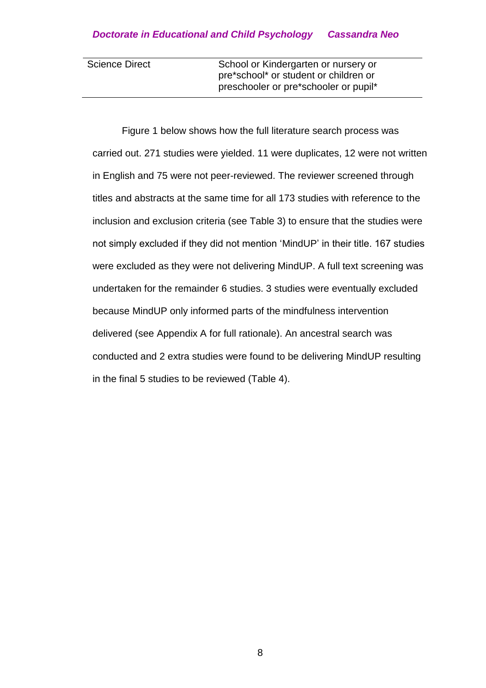| <b>Science Direct</b> | School or Kindergarten or nursery or  |
|-----------------------|---------------------------------------|
|                       | pre*school* or student or children or |
|                       | preschooler or pre*schooler or pupil* |

Figure 1 below shows how the full literature search process was carried out. 271 studies were yielded. 11 were duplicates, 12 were not written in English and 75 were not peer-reviewed. The reviewer screened through titles and abstracts at the same time for all 173 studies with reference to the inclusion and exclusion criteria (see Table 3) to ensure that the studies were not simply excluded if they did not mention 'MindUP' in their title. 167 studies were excluded as they were not delivering MindUP. A full text screening was undertaken for the remainder 6 studies. 3 studies were eventually excluded because MindUP only informed parts of the mindfulness intervention delivered (see Appendix A for full rationale). An ancestral search was conducted and 2 extra studies were found to be delivering MindUP resulting in the final 5 studies to be reviewed (Table 4).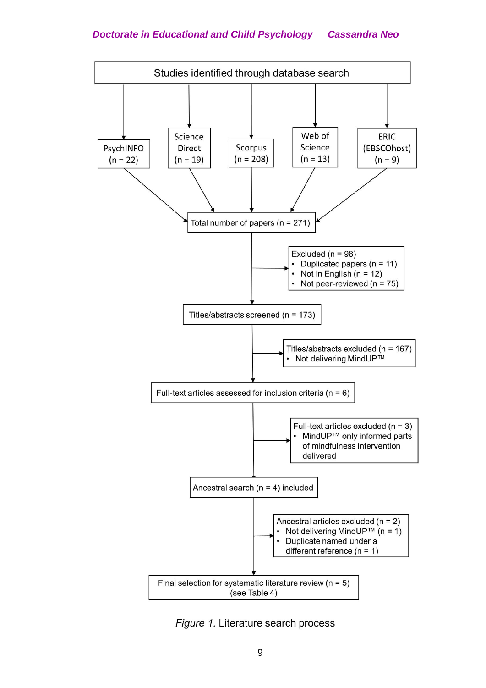

Figure 1. Literature search process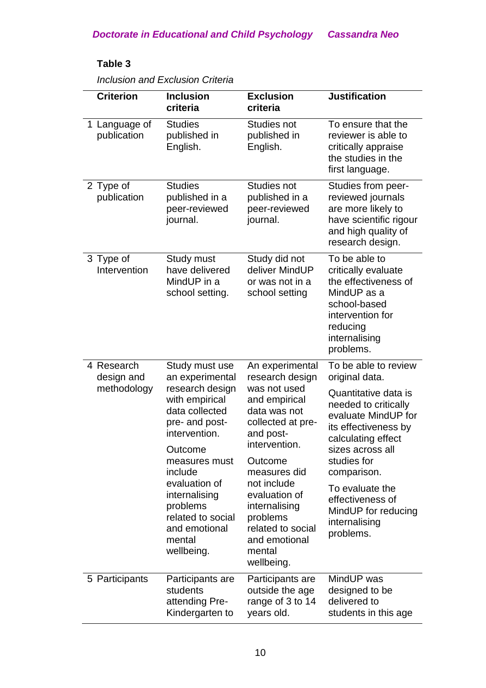### **Table 3**

| <b>Criterion</b>                        | <b>Inclusion</b><br>criteria                                                                                                                                                                                                                                                   | <b>Exclusion</b><br>criteria                                                                                                                                                                                                                                                                 | <b>Justification</b>                                                                                                                                                                                                                                                                                      |
|-----------------------------------------|--------------------------------------------------------------------------------------------------------------------------------------------------------------------------------------------------------------------------------------------------------------------------------|----------------------------------------------------------------------------------------------------------------------------------------------------------------------------------------------------------------------------------------------------------------------------------------------|-----------------------------------------------------------------------------------------------------------------------------------------------------------------------------------------------------------------------------------------------------------------------------------------------------------|
| 1 Language of<br>publication            | <b>Studies</b><br>published in<br>English.                                                                                                                                                                                                                                     | <b>Studies not</b><br>published in<br>English.                                                                                                                                                                                                                                               | To ensure that the<br>reviewer is able to<br>critically appraise<br>the studies in the<br>first language.                                                                                                                                                                                                 |
| 2 Type of<br>publication                | <b>Studies</b><br>published in a<br>peer-reviewed<br>journal.                                                                                                                                                                                                                  | <b>Studies not</b><br>published in a<br>peer-reviewed<br>journal.                                                                                                                                                                                                                            | Studies from peer-<br>reviewed journals<br>are more likely to<br>have scientific rigour<br>and high quality of<br>research design.                                                                                                                                                                        |
| 3 Type of<br>Intervention               | Study must<br>have delivered<br>MindUP in a<br>school setting.                                                                                                                                                                                                                 | Study did not<br>deliver MindUP<br>or was not in a<br>school setting                                                                                                                                                                                                                         | To be able to<br>critically evaluate<br>the effectiveness of<br>MindUP as a<br>school-based<br>intervention for<br>reducing<br>internalising<br>problems.                                                                                                                                                 |
| 4 Research<br>design and<br>methodology | Study must use<br>an experimental<br>research design<br>with empirical<br>data collected<br>pre- and post-<br>intervention.<br>Outcome<br>measures must<br>include<br>evaluation of<br>internalising<br>problems<br>related to social<br>and emotional<br>mental<br>wellbeing. | An experimental<br>research design<br>was not used<br>and empirical<br>data was not<br>collected at pre-<br>and post-<br>intervention.<br>Outcome<br>measures did<br>not include<br>evaluation of<br>internalising<br>problems<br>related to social<br>and emotional<br>mental<br>wellbeing. | To be able to review<br>original data.<br>Quantitative data is<br>needed to critically<br>evaluate MindUP for<br>its effectiveness by<br>calculating effect<br>sizes across all<br>studies for<br>comparison.<br>To evaluate the<br>effectiveness of<br>MindUP for reducing<br>internalising<br>problems. |
| 5 Participants                          | Participants are<br>students<br>attending Pre-<br>Kindergarten to                                                                                                                                                                                                              | Participants are<br>outside the age<br>range of 3 to 14<br>years old.                                                                                                                                                                                                                        | MindUP was<br>designed to be<br>delivered to<br>students in this age                                                                                                                                                                                                                                      |

*Inclusion and Exclusion Criteria*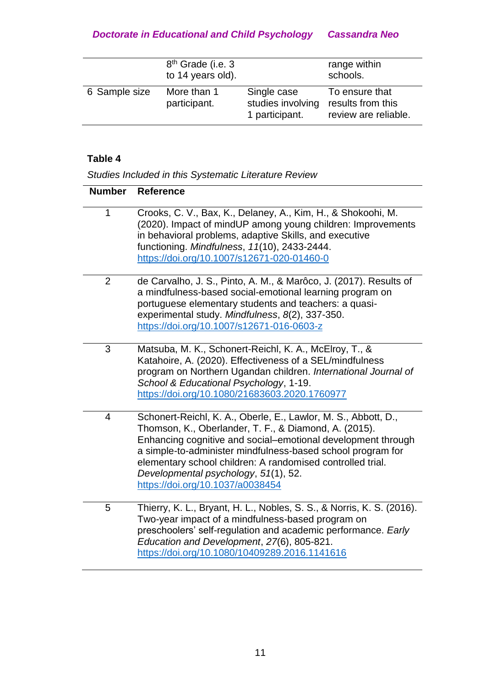|               | 8 <sup>th</sup> Grade (i.e. 3<br>to 14 years old). |                                                    | range within<br>schools.                                    |
|---------------|----------------------------------------------------|----------------------------------------------------|-------------------------------------------------------------|
| 6 Sample size | More than 1<br>participant.                        | Single case<br>studies involving<br>1 participant. | To ensure that<br>results from this<br>review are reliable. |

### **Table 4**

*Studies Included in this Systematic Literature Review*

| <b>Number</b>  | <b>Reference</b>                                                                                                                                                                                                                                                                                                                                                                                 |
|----------------|--------------------------------------------------------------------------------------------------------------------------------------------------------------------------------------------------------------------------------------------------------------------------------------------------------------------------------------------------------------------------------------------------|
| $\mathbf 1$    | Crooks, C. V., Bax, K., Delaney, A., Kim, H., & Shokoohi, M.<br>(2020). Impact of mindUP among young children: Improvements<br>in behavioral problems, adaptive Skills, and executive<br>functioning. Mindfulness, 11(10), 2433-2444.<br>https://doi.org/10.1007/s12671-020-01460-0                                                                                                              |
| $\overline{2}$ | de Carvalho, J. S., Pinto, A. M., & Marôco, J. (2017). Results of<br>a mindfulness-based social-emotional learning program on<br>portuguese elementary students and teachers: a quasi-<br>experimental study. Mindfulness, 8(2), 337-350.<br>https://doi.org/10.1007/s12671-016-0603-z                                                                                                           |
| 3              | Matsuba, M. K., Schonert-Reichl, K. A., McElroy, T., &<br>Katahoire, A. (2020). Effectiveness of a SEL/mindfulness<br>program on Northern Ugandan children. International Journal of<br>School & Educational Psychology, 1-19.<br>https://doi.org/10.1080/21683603.2020.1760977                                                                                                                  |
| $\overline{4}$ | Schonert-Reichl, K. A., Oberle, E., Lawlor, M. S., Abbott, D.,<br>Thomson, K., Oberlander, T. F., & Diamond, A. (2015).<br>Enhancing cognitive and social-emotional development through<br>a simple-to-administer mindfulness-based school program for<br>elementary school children: A randomised controlled trial.<br>Developmental psychology, 51(1), 52.<br>https://doi.org/10.1037/a0038454 |
| 5              | Thierry, K. L., Bryant, H. L., Nobles, S. S., & Norris, K. S. (2016).<br>Two-year impact of a mindfulness-based program on<br>preschoolers' self-regulation and academic performance. Early<br>Education and Development, 27(6), 805-821.<br>https://doi.org/10.1080/10409289.2016.1141616                                                                                                       |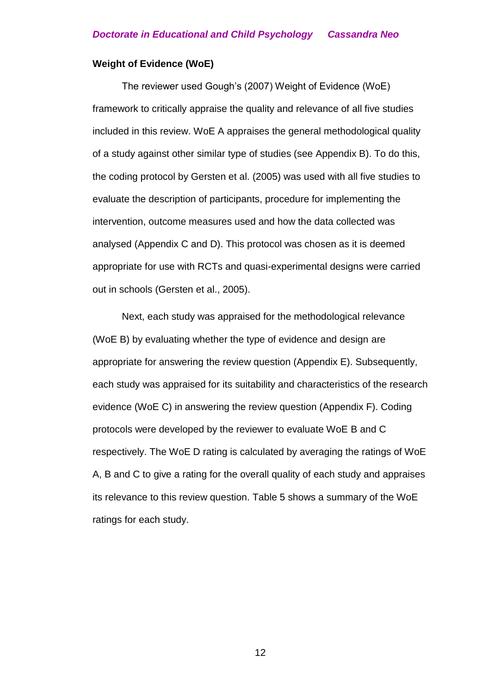#### **Weight of Evidence (WoE)**

The reviewer used Gough's (2007) Weight of Evidence (WoE) framework to critically appraise the quality and relevance of all five studies included in this review. WoE A appraises the general methodological quality of a study against other similar type of studies (see Appendix B). To do this, the coding protocol by Gersten et al. (2005) was used with all five studies to evaluate the description of participants, procedure for implementing the intervention, outcome measures used and how the data collected was analysed (Appendix C and D). This protocol was chosen as it is deemed appropriate for use with RCTs and quasi-experimental designs were carried out in schools (Gersten et al., 2005).

Next, each study was appraised for the methodological relevance (WoE B) by evaluating whether the type of evidence and design are appropriate for answering the review question (Appendix E). Subsequently, each study was appraised for its suitability and characteristics of the research evidence (WoE C) in answering the review question (Appendix F). Coding protocols were developed by the reviewer to evaluate WoE B and C respectively. The WoE D rating is calculated by averaging the ratings of WoE A, B and C to give a rating for the overall quality of each study and appraises its relevance to this review question. Table 5 shows a summary of the WoE ratings for each study.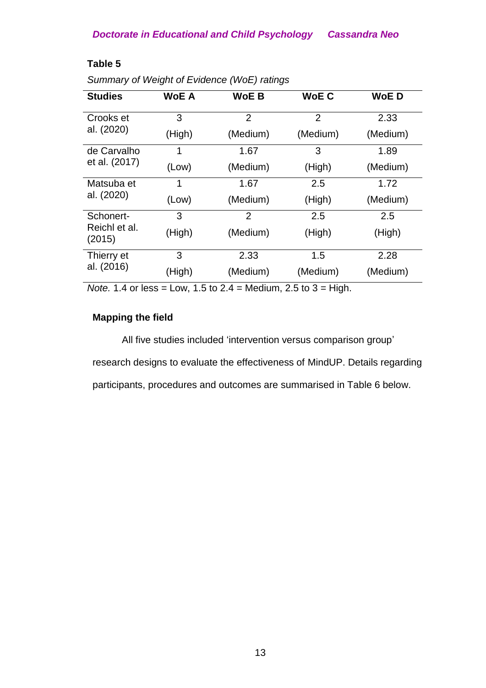|                         | . <u>.</u>   |                |                |             |
|-------------------------|--------------|----------------|----------------|-------------|
| <b>Studies</b>          | <b>WoE A</b> | <b>WoE B</b>   | <b>WoE C</b>   | <b>WoED</b> |
| Crooks et               | 3            | $\overline{2}$ | $\overline{2}$ | 2.33        |
| al. (2020)              | (High)       | (Medium)       | (Medium)       | (Medium)    |
| de Carvalho             | 1            | 1.67           | 3              | 1.89        |
| et al. (2017)           | (Low)        | (Medium)       | (High)         | (Medium)    |
| Matsuba et              | 1            | 1.67           | 2.5            | 1.72        |
| al. (2020)              | (Low)        | (Medium)       | (High)         | (Medium)    |
| Schonert-               | 3            | 2              | 2.5            | 2.5         |
| Reichl et al.<br>(2015) | (High)       | (Medium)       | (High)         | (High)      |
| Thierry et              | 3            | 2.33           | 1.5            | 2.28        |
| al. (2016)              | (High)       | (Medium)       | (Medium)       | (Medium)    |

### **Table 5**

*Summary of Weight of Evidence (WoE) ratings*

*Note.* 1.4 or less = Low, 1.5 to 2.4 = Medium, 2.5 to 3 = High.

### **Mapping the field**

All five studies included 'intervention versus comparison group'

research designs to evaluate the effectiveness of MindUP. Details regarding

participants, procedures and outcomes are summarised in Table 6 below.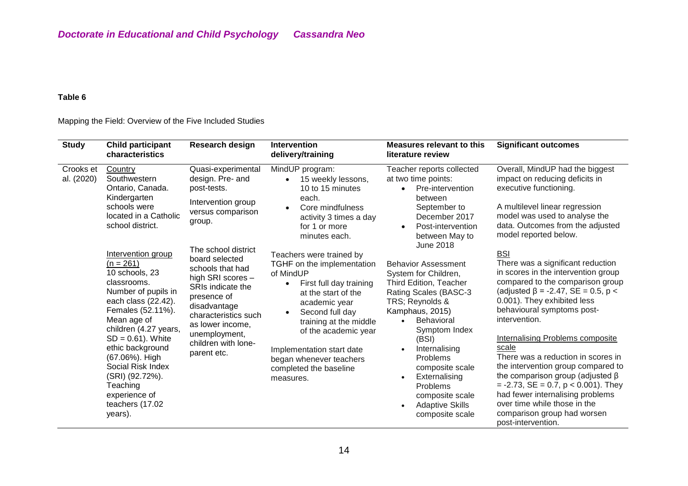#### **Table 6**

#### Mapping the Field: Overview of the Five Included Studies

| <b>Study</b>            | <b>Child participant</b><br>characteristics                                                                                                                                                                                                                                                                                                    | Research design                                                                                                                                                                                                                       | <b>Intervention</b><br>delivery/training                                                                                                                                                                                                                                                                                             | <b>Measures relevant to this</b><br>literature review                                                                                                                                                                                                                                                                                                       | <b>Significant outcomes</b>                                                                                                                                                                                                                                                                                                                                                                                                                                                                                                                                                                      |
|-------------------------|------------------------------------------------------------------------------------------------------------------------------------------------------------------------------------------------------------------------------------------------------------------------------------------------------------------------------------------------|---------------------------------------------------------------------------------------------------------------------------------------------------------------------------------------------------------------------------------------|--------------------------------------------------------------------------------------------------------------------------------------------------------------------------------------------------------------------------------------------------------------------------------------------------------------------------------------|-------------------------------------------------------------------------------------------------------------------------------------------------------------------------------------------------------------------------------------------------------------------------------------------------------------------------------------------------------------|--------------------------------------------------------------------------------------------------------------------------------------------------------------------------------------------------------------------------------------------------------------------------------------------------------------------------------------------------------------------------------------------------------------------------------------------------------------------------------------------------------------------------------------------------------------------------------------------------|
| Crooks et<br>al. (2020) | Quasi-experimental<br>Country<br>Southwestern<br>design. Pre- and<br>Ontario, Canada.<br>post-tests.<br>Kindergarten<br>Intervention group<br>schools were<br>versus comparison<br>located in a Catholic<br>group.<br>school district.                                                                                                         | MindUP program:<br>15 weekly lessons,<br>10 to 15 minutes<br>each.<br>Core mindfulness<br>activity 3 times a day<br>for 1 or more<br>minutes each.                                                                                    | Teacher reports collected<br>at two time points:<br>Pre-intervention<br>between<br>September to<br>December 2017<br>Post-intervention<br>between May to                                                                                                                                                                              | Overall, MindUP had the biggest<br>impact on reducing deficits in<br>executive functioning.<br>A multilevel linear regression<br>model was used to analyse the<br>data. Outcomes from the adjusted<br>model reported below.                                                                                                                                 |                                                                                                                                                                                                                                                                                                                                                                                                                                                                                                                                                                                                  |
|                         | Intervention group<br>$(n = 261)$<br>10 schools, 23<br>classrooms.<br>Number of pupils in<br>each class (22.42).<br>Females (52.11%).<br>Mean age of<br>children (4.27 years,<br>$SD = 0.61$ ). White<br>ethic background<br>(67.06%). High<br>Social Risk Index<br>(SRI) (92.72%).<br>Teaching<br>experience of<br>teachers (17.02<br>years). | The school district<br>board selected<br>schools that had<br>high SRI scores -<br>SRIs indicate the<br>presence of<br>disadvantage<br>characteristics such<br>as lower income,<br>unemployment,<br>children with lone-<br>parent etc. | Teachers were trained by<br>TGHF on the implementation<br>of MindUP<br>First full day training<br>$\bullet$<br>at the start of the<br>academic year<br>Second full day<br>$\bullet$<br>training at the middle<br>of the academic year<br>Implementation start date<br>began whenever teachers<br>completed the baseline<br>measures. | <b>June 2018</b><br><b>Behavior Assessment</b><br>System for Children,<br>Third Edition, Teacher<br>Rating Scales (BASC-3<br>TRS; Reynolds &<br>Kamphaus, 2015)<br>Behavioral<br>Symptom Index<br>(BSI)<br>Internalising<br><b>Problems</b><br>composite scale<br>Externalising<br>Problems<br>composite scale<br><b>Adaptive Skills</b><br>composite scale | <b>BSI</b><br>There was a significant reduction<br>in scores in the intervention group<br>compared to the comparison group<br>(adjusted $\beta$ = -2.47, SE = 0.5, p <<br>0.001). They exhibited less<br>behavioural symptoms post-<br>intervention.<br>Internalising Problems composite<br>scale<br>There was a reduction in scores in<br>the intervention group compared to<br>the comparison group (adjusted $\beta$<br>$= -2.73$ , SE $= 0.7$ , p $< 0.001$ ). They<br>had fewer internalising problems<br>over time while those in the<br>comparison group had worsen<br>post-intervention. |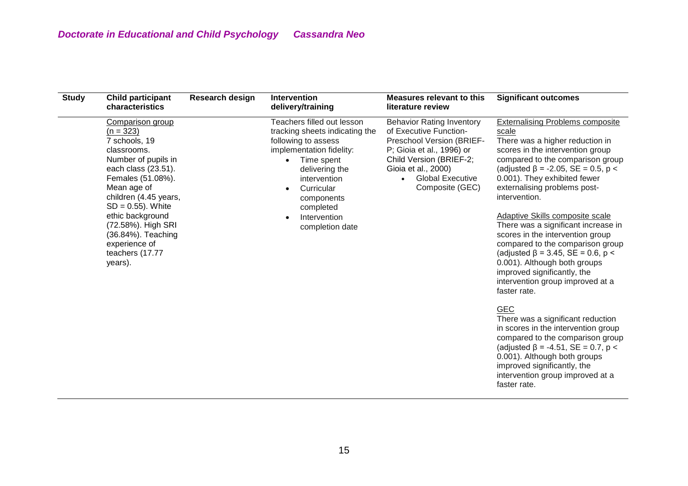| <b>Study</b> | <b>Child participant</b><br>characteristics                                                                                                                                                                                                                                                                       | <b>Research design</b> | <b>Intervention</b><br>delivery/training                                                                                                                                                                                                                 | <b>Measures relevant to this</b><br>literature review                                                                                                                                                                | <b>Significant outcomes</b>                                                                                                                                                                                                                                                                                                                                                                                                                                                                                                                                                                                                                                                                                                                                                                                                                                                                           |
|--------------|-------------------------------------------------------------------------------------------------------------------------------------------------------------------------------------------------------------------------------------------------------------------------------------------------------------------|------------------------|----------------------------------------------------------------------------------------------------------------------------------------------------------------------------------------------------------------------------------------------------------|----------------------------------------------------------------------------------------------------------------------------------------------------------------------------------------------------------------------|-------------------------------------------------------------------------------------------------------------------------------------------------------------------------------------------------------------------------------------------------------------------------------------------------------------------------------------------------------------------------------------------------------------------------------------------------------------------------------------------------------------------------------------------------------------------------------------------------------------------------------------------------------------------------------------------------------------------------------------------------------------------------------------------------------------------------------------------------------------------------------------------------------|
|              | Comparison group<br>$(n = 323)$<br>7 schools, 19<br>classrooms.<br>Number of pupils in<br>each class (23.51).<br>Females (51.08%).<br>Mean age of<br>children (4.45 years,<br>$SD = 0.55$ ). White<br>ethic background<br>(72.58%). High SRI<br>(36.84%). Teaching<br>experience of<br>teachers (17.77<br>years). |                        | Teachers filled out lesson<br>tracking sheets indicating the<br>following to assess<br>implementation fidelity:<br>Time spent<br>$\bullet$<br>delivering the<br>intervention<br>Curricular<br>components<br>completed<br>Intervention<br>completion date | <b>Behavior Rating Inventory</b><br>of Executive Function-<br>Preschool Version (BRIEF-<br>P; Gioia et al., 1996) or<br>Child Version (BRIEF-2;<br>Gioia et al., 2000)<br><b>Global Executive</b><br>Composite (GEC) | <b>Externalising Problems composite</b><br>scale<br>There was a higher reduction in<br>scores in the intervention group<br>compared to the comparison group<br>(adjusted $\beta$ = -2.05, SE = 0.5, p <<br>0.001). They exhibited fewer<br>externalising problems post-<br>intervention.<br>Adaptive Skills composite scale<br>There was a significant increase in<br>scores in the intervention group<br>compared to the comparison group<br>(adjusted $\beta$ = 3.45, SE = 0.6, p <<br>0.001). Although both groups<br>improved significantly, the<br>intervention group improved at a<br>faster rate.<br><b>GEC</b><br>There was a significant reduction<br>in scores in the intervention group<br>compared to the comparison group<br>(adjusted $\beta$ = -4.51, SE = 0.7, p <<br>0.001). Although both groups<br>improved significantly, the<br>intervention group improved at a<br>faster rate. |
|              |                                                                                                                                                                                                                                                                                                                   |                        |                                                                                                                                                                                                                                                          |                                                                                                                                                                                                                      |                                                                                                                                                                                                                                                                                                                                                                                                                                                                                                                                                                                                                                                                                                                                                                                                                                                                                                       |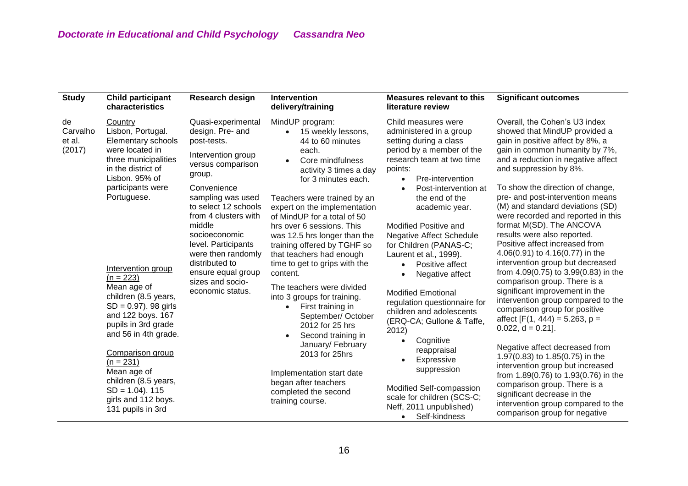| <b>Study</b>                       | <b>Child participant</b><br>characteristics                                                                                                                                                                                                                                                                                                          | Research design                                                                                                                                                                                                                                                                                                                                        | <b>Intervention</b><br>delivery/training                                                                                                                                                                                                                                                                                                                                                                                                                                                                                                                                             | Measures relevant to this<br>literature review                                                                                                                                                                                                                                                                                                                                                                                                                                                                                               | <b>Significant outcomes</b>                                                                                                                                                                                                                                                                                                                                                                                                                                                                                                                                                                                                                                                                                                                                               |
|------------------------------------|------------------------------------------------------------------------------------------------------------------------------------------------------------------------------------------------------------------------------------------------------------------------------------------------------------------------------------------------------|--------------------------------------------------------------------------------------------------------------------------------------------------------------------------------------------------------------------------------------------------------------------------------------------------------------------------------------------------------|--------------------------------------------------------------------------------------------------------------------------------------------------------------------------------------------------------------------------------------------------------------------------------------------------------------------------------------------------------------------------------------------------------------------------------------------------------------------------------------------------------------------------------------------------------------------------------------|----------------------------------------------------------------------------------------------------------------------------------------------------------------------------------------------------------------------------------------------------------------------------------------------------------------------------------------------------------------------------------------------------------------------------------------------------------------------------------------------------------------------------------------------|---------------------------------------------------------------------------------------------------------------------------------------------------------------------------------------------------------------------------------------------------------------------------------------------------------------------------------------------------------------------------------------------------------------------------------------------------------------------------------------------------------------------------------------------------------------------------------------------------------------------------------------------------------------------------------------------------------------------------------------------------------------------------|
| de<br>Carvalho<br>et al.<br>(2017) | Country<br>Lisbon, Portugal.<br>Elementary schools<br>were located in<br>three municipalities<br>in the district of<br>Lisbon. 95% of<br>participants were<br>Portuguese.<br>Intervention group<br>$(n = 223)$<br>Mean age of<br>children (8.5 years,<br>$SD = 0.97$ ). 98 girls<br>and 122 boys. 167<br>pupils in 3rd grade<br>and 56 in 4th grade. | Quasi-experimental<br>design. Pre- and<br>post-tests.<br>Intervention group<br>versus comparison<br>group.<br>Convenience<br>sampling was used<br>to select 12 schools<br>from 4 clusters with<br>middle<br>socioeconomic<br>level. Participants<br>were then randomly<br>distributed to<br>ensure equal group<br>sizes and socio-<br>economic status. | MindUP program:<br>15 weekly lessons,<br>$\bullet$<br>44 to 60 minutes<br>each.<br>Core mindfulness<br>activity 3 times a day<br>for 3 minutes each.<br>Teachers were trained by an<br>expert on the implementation<br>of MindUP for a total of 50<br>hrs over 6 sessions. This<br>was 12.5 hrs longer than the<br>training offered by TGHF so<br>that teachers had enough<br>time to get to grips with the<br>content.<br>The teachers were divided<br>into 3 groups for training.<br>First training in<br>September/ October<br>2012 for 25 hrs<br>Second training in<br>$\bullet$ | Child measures were<br>administered in a group<br>setting during a class<br>period by a member of the<br>research team at two time<br>points:<br>Pre-intervention<br>$\bullet$<br>Post-intervention at<br>the end of the<br>academic year.<br>Modified Positive and<br><b>Negative Affect Schedule</b><br>for Children (PANAS-C;<br>Laurent et al., 1999).<br>Positive affect<br>$\bullet$<br>Negative affect<br><b>Modified Emotional</b><br>regulation questionnaire for<br>children and adolescents<br>(ERQ-CA; Gullone & Taffe,<br>2012) | Overall, the Cohen's U3 index<br>showed that MindUP provided a<br>gain in positive affect by 8%, a<br>gain in common humanity by 7%,<br>and a reduction in negative affect<br>and suppression by 8%.<br>To show the direction of change,<br>pre- and post-intervention means<br>(M) and standard deviations (SD)<br>were recorded and reported in this<br>format M(SD). The ANCOVA<br>results were also reported.<br>Positive affect increased from<br>4.06(0.91) to $4.16(0.77)$ in the<br>intervention group but decreased<br>from 4.09(0.75) to 3.99(0.83) in the<br>comparison group. There is a<br>significant improvement in the<br>intervention group compared to the<br>comparison group for positive<br>affect [F(1, 444) = 5.263, $p =$<br>$0.022$ , d = 0.21]. |
|                                    | <b>Comparison group</b><br>$(n = 231)$<br>Mean age of<br>children (8.5 years,<br>$SD = 1.04$ ). 115<br>girls and 112 boys.<br>131 pupils in 3rd                                                                                                                                                                                                      |                                                                                                                                                                                                                                                                                                                                                        | January/ February<br>2013 for 25hrs<br>Implementation start date<br>began after teachers<br>completed the second<br>training course.                                                                                                                                                                                                                                                                                                                                                                                                                                                 | Cognitive<br>reappraisal<br>Expressive<br>suppression<br>Modified Self-compassion<br>scale for children (SCS-C;<br>Neff, 2011 unpublished)<br>Self-kindness<br>$\bullet$                                                                                                                                                                                                                                                                                                                                                                     | Negative affect decreased from<br>1.97(0.83) to 1.85(0.75) in the<br>intervention group but increased<br>from 1.89(0.76) to 1.93(0.76) in the<br>comparison group. There is a<br>significant decrease in the<br>intervention group compared to the<br>comparison group for negative                                                                                                                                                                                                                                                                                                                                                                                                                                                                                       |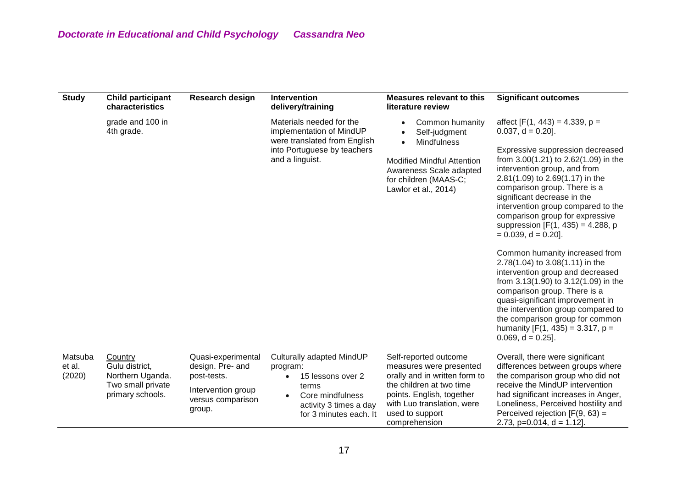| <b>Study</b>                | <b>Child participant</b><br>characteristics                                            | Research design                                                                                            | Intervention<br>delivery/training                                                                                                                        | <b>Measures relevant to this</b><br>literature review                                                                                                                                                        | <b>Significant outcomes</b>                                                                                                                                                                                                                                                                                                                                                                                                                                                                                                                                                                                                                                                                                                                                                      |
|-----------------------------|----------------------------------------------------------------------------------------|------------------------------------------------------------------------------------------------------------|----------------------------------------------------------------------------------------------------------------------------------------------------------|--------------------------------------------------------------------------------------------------------------------------------------------------------------------------------------------------------------|----------------------------------------------------------------------------------------------------------------------------------------------------------------------------------------------------------------------------------------------------------------------------------------------------------------------------------------------------------------------------------------------------------------------------------------------------------------------------------------------------------------------------------------------------------------------------------------------------------------------------------------------------------------------------------------------------------------------------------------------------------------------------------|
|                             | grade and 100 in<br>4th grade.                                                         |                                                                                                            | Materials needed for the<br>implementation of MindUP<br>were translated from English<br>into Portuguese by teachers<br>and a linguist.                   | Common humanity<br>$\bullet$<br>Self-judgment<br><b>Mindfulness</b><br>$\bullet$<br><b>Modified Mindful Attention</b><br>Awareness Scale adapted<br>for children (MAAS-C;<br>Lawlor et al., 2014)            | affect $[F(1, 443) = 4.339, p =$<br>$0.037$ , $d = 0.20$ ].<br>Expressive suppression decreased<br>from 3.00(1.21) to 2.62(1.09) in the<br>intervention group, and from<br>2.81(1.09) to 2.69(1.17) in the<br>comparison group. There is a<br>significant decrease in the<br>intervention group compared to the<br>comparison group for expressive<br>suppression $[F(1, 435) = 4.288, p]$<br>$= 0.039$ , d = 0.20].<br>Common humanity increased from<br>2.78(1.04) to 3.08(1.11) in the<br>intervention group and decreased<br>from 3.13(1.90) to 3.12(1.09) in the<br>comparison group. There is a<br>quasi-significant improvement in<br>the intervention group compared to<br>the comparison group for common<br>humanity $[F(1, 435) = 3.317, p =$<br>$0.069$ , d = 0.25]. |
| Matsuba<br>et al.<br>(2020) | Country<br>Gulu district,<br>Northern Uganda.<br>Two small private<br>primary schools. | Quasi-experimental<br>design. Pre- and<br>post-tests.<br>Intervention group<br>versus comparison<br>group. | Culturally adapted MindUP<br>program:<br>15 lessons over 2<br>$\bullet$<br>terms<br>Core mindfulness<br>activity 3 times a day<br>for 3 minutes each. It | Self-reported outcome<br>measures were presented<br>orally and in written form to<br>the children at two time<br>points. English, together<br>with Luo translation, were<br>used to support<br>comprehension | Overall, there were significant<br>differences between groups where<br>the comparison group who did not<br>receive the MindUP intervention<br>had significant increases in Anger,<br>Loneliness, Perceived hostility and<br>Perceived rejection $[F(9, 63) =$<br>2.73, $p=0.014$ , $d = 1.12$ ].                                                                                                                                                                                                                                                                                                                                                                                                                                                                                 |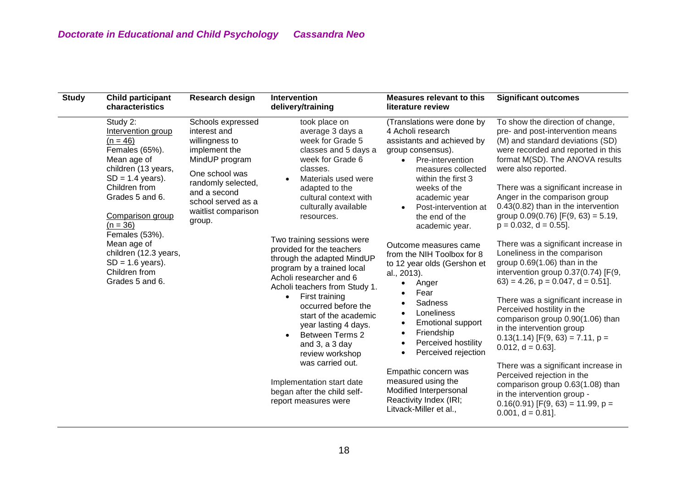| <b>Study</b> | <b>Child participant</b><br>characteristics                                                                                                                                                             | Research design                                                                                                                                                                                       | <b>Intervention</b><br>delivery/training                                                                                                                                                                                                                                                                                                              | <b>Measures relevant to this</b><br>literature review                                                                                                                                                                                                                        | <b>Significant outcomes</b>                                                                                                                                                                                                                                                                                                                                                                    |
|--------------|---------------------------------------------------------------------------------------------------------------------------------------------------------------------------------------------------------|-------------------------------------------------------------------------------------------------------------------------------------------------------------------------------------------------------|-------------------------------------------------------------------------------------------------------------------------------------------------------------------------------------------------------------------------------------------------------------------------------------------------------------------------------------------------------|------------------------------------------------------------------------------------------------------------------------------------------------------------------------------------------------------------------------------------------------------------------------------|------------------------------------------------------------------------------------------------------------------------------------------------------------------------------------------------------------------------------------------------------------------------------------------------------------------------------------------------------------------------------------------------|
|              | Study 2:<br>Intervention group<br>$(n = 46)$<br>Females (65%).<br>Mean age of<br>children (13 years,<br>$SD = 1.4$ years).<br>Children from<br>Grades 5 and 6.<br><b>Comparison group</b><br>$(n = 36)$ | Schools expressed<br>interest and<br>willingness to<br>implement the<br>MindUP program<br>One school was<br>randomly selected,<br>and a second<br>school served as a<br>waitlist comparison<br>group. | took place on<br>average 3 days a<br>week for Grade 5<br>classes and 5 days a<br>week for Grade 6<br>classes.<br>Materials used were<br>adapted to the<br>cultural context with<br>culturally available<br>resources.                                                                                                                                 | (Translations were done by<br>4 Acholi research<br>assistants and achieved by<br>group consensus).<br>Pre-intervention<br>$\bullet$<br>measures collected<br>within the first 3<br>weeks of the<br>academic year<br>Post-intervention at<br>the end of the<br>academic year. | To show the direction of change,<br>pre- and post-intervention means<br>(M) and standard deviations (SD)<br>were recorded and reported in this<br>format M(SD). The ANOVA results<br>were also reported.<br>There was a significant increase in<br>Anger in the comparison group<br>0.43(0.82) than in the intervention<br>group $0.09(0.76)$ [F(9, 63) = 5.19,<br>$p = 0.032$ , $d = 0.55$ ]. |
|              | Females (53%).<br>Mean age of<br>children (12.3 years,<br>$SD = 1.6$ years).<br>Children from<br>Grades 5 and 6.                                                                                        |                                                                                                                                                                                                       | Two training sessions were<br>provided for the teachers<br>through the adapted MindUP<br>program by a trained local<br>Acholi researcher and 6<br>Acholi teachers from Study 1.<br>First training<br>$\bullet$<br>occurred before the<br>start of the academic<br>year lasting 4 days.<br><b>Between Terms 2</b><br>and 3, a 3 day<br>review workshop | Outcome measures came<br>from the NIH Toolbox for 8<br>to 12 year olds (Gershon et<br>al., 2013).<br>Anger                                                                                                                                                                   | There was a significant increase in<br>Loneliness in the comparison<br>group $0.69(1.06)$ than in the<br>intervention group 0.37(0.74) [F(9,<br>$(63) = 4.26$ , $p = 0.047$ , $d = 0.51$ .                                                                                                                                                                                                     |
|              |                                                                                                                                                                                                         |                                                                                                                                                                                                       |                                                                                                                                                                                                                                                                                                                                                       | Fear<br>Sadness<br>$\bullet$<br>Loneliness<br>$\bullet$<br><b>Emotional support</b><br>$\bullet$<br>Friendship<br>$\bullet$<br>Perceived hostility<br>$\bullet$<br>Perceived rejection                                                                                       | There was a significant increase in<br>Perceived hostility in the<br>comparison group 0.90(1.06) than<br>in the intervention group<br>$0.13(1.14)$ [F(9, 63) = 7.11, p =<br>$0.012$ , $d = 0.63$ ].                                                                                                                                                                                            |
|              |                                                                                                                                                                                                         |                                                                                                                                                                                                       | was carried out.<br>Implementation start date<br>began after the child self-<br>report measures were                                                                                                                                                                                                                                                  | Empathic concern was<br>measured using the<br>Modified Interpersonal<br>Reactivity Index (IRI;<br>Litvack-Miller et al.,                                                                                                                                                     | There was a significant increase in<br>Perceived rejection in the<br>comparison group 0.63(1.08) than<br>in the intervention group -<br>$0.16(0.91)$ [F(9, 63) = 11.99, p =<br>$0.001$ , $d = 0.81$ ].                                                                                                                                                                                         |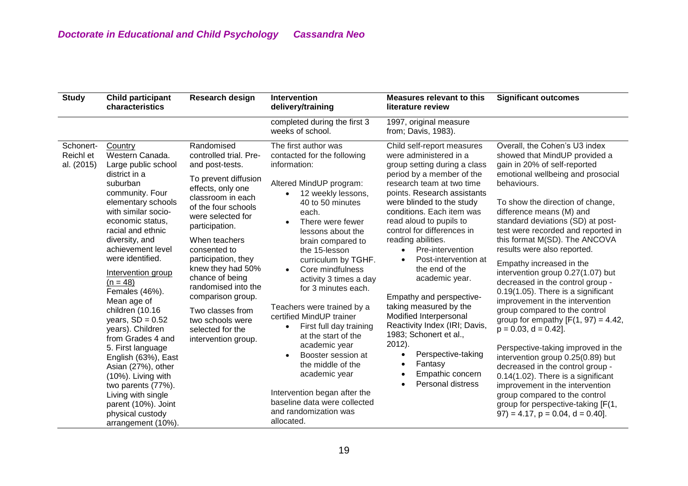| <b>Study</b>                         | <b>Child participant</b><br>characteristics                                                                                                                                                                                                                                                                                                                                                                                                           | Research design                                                                                                                                                                                                                                                                                                                                                                                                        | <b>Intervention</b><br>delivery/training                                                                                                                                                                                                                                                                                                                                                                                                                                                                  | <b>Measures relevant to this</b><br>literature review                                                                                                                                                                                                                                                                                                                                                                                                                                                                                                                                                          | <b>Significant outcomes</b>                                                                                                                                                                                                                                                                                                                                                                                                                                                                                                                                                                                                                                                                                                      |
|--------------------------------------|-------------------------------------------------------------------------------------------------------------------------------------------------------------------------------------------------------------------------------------------------------------------------------------------------------------------------------------------------------------------------------------------------------------------------------------------------------|------------------------------------------------------------------------------------------------------------------------------------------------------------------------------------------------------------------------------------------------------------------------------------------------------------------------------------------------------------------------------------------------------------------------|-----------------------------------------------------------------------------------------------------------------------------------------------------------------------------------------------------------------------------------------------------------------------------------------------------------------------------------------------------------------------------------------------------------------------------------------------------------------------------------------------------------|----------------------------------------------------------------------------------------------------------------------------------------------------------------------------------------------------------------------------------------------------------------------------------------------------------------------------------------------------------------------------------------------------------------------------------------------------------------------------------------------------------------------------------------------------------------------------------------------------------------|----------------------------------------------------------------------------------------------------------------------------------------------------------------------------------------------------------------------------------------------------------------------------------------------------------------------------------------------------------------------------------------------------------------------------------------------------------------------------------------------------------------------------------------------------------------------------------------------------------------------------------------------------------------------------------------------------------------------------------|
|                                      |                                                                                                                                                                                                                                                                                                                                                                                                                                                       |                                                                                                                                                                                                                                                                                                                                                                                                                        | completed during the first 3<br>weeks of school.                                                                                                                                                                                                                                                                                                                                                                                                                                                          | 1997, original measure<br>from; Davis, 1983).                                                                                                                                                                                                                                                                                                                                                                                                                                                                                                                                                                  |                                                                                                                                                                                                                                                                                                                                                                                                                                                                                                                                                                                                                                                                                                                                  |
| Schonert-<br>Reichl et<br>al. (2015) | Country<br>Western Canada.<br>Large public school<br>district in a<br>suburban<br>community. Four<br>elementary schools<br>with similar socio-<br>economic status,<br>racial and ethnic<br>diversity, and<br>achievement level<br>were identified.<br>Intervention group<br>$(n = 48)$<br>Females (46%).<br>Mean age of<br>children (10.16<br>years, $SD = 0.52$<br>years). Children<br>from Grades 4 and<br>5. First language<br>English (63%), East | Randomised<br>controlled trial. Pre-<br>and post-tests.<br>To prevent diffusion<br>effects, only one<br>classroom in each<br>of the four schools<br>were selected for<br>participation.<br>When teachers<br>consented to<br>participation, they<br>knew they had 50%<br>chance of being<br>randomised into the<br>comparison group.<br>Two classes from<br>two schools were<br>selected for the<br>intervention group. | The first author was<br>contacted for the following<br>information:<br>Altered MindUP program:<br>12 weekly lessons,<br>40 to 50 minutes<br>each.<br>There were fewer<br>lessons about the<br>brain compared to<br>the 15-lesson<br>curriculum by TGHF.<br>Core mindfulness<br>$\bullet$<br>activity 3 times a day<br>for 3 minutes each.<br>Teachers were trained by a<br>certified MindUP trainer<br>First full day training<br>at the start of the<br>academic year<br>Booster session at<br>$\bullet$ | Child self-report measures<br>were administered in a<br>group setting during a class<br>period by a member of the<br>research team at two time<br>points. Research assistants<br>were blinded to the study<br>conditions. Each item was<br>read aloud to pupils to<br>control for differences in<br>reading abilities.<br>Pre-intervention<br>$\bullet$<br>Post-intervention at<br>$\bullet$<br>the end of the<br>academic year.<br>Empathy and perspective-<br>taking measured by the<br>Modified Interpersonal<br>Reactivity Index (IRI; Davis,<br>1983; Schonert et al.,<br>$2012$ ).<br>Perspective-taking | Overall, the Cohen's U3 index<br>showed that MindUP provided a<br>gain in 20% of self-reported<br>emotional wellbeing and prosocial<br>behaviours.<br>To show the direction of change,<br>difference means (M) and<br>standard deviations (SD) at post-<br>test were recorded and reported in<br>this format M(SD). The ANCOVA<br>results were also reported.<br>Empathy increased in the<br>intervention group 0.27(1.07) but<br>decreased in the control group -<br>0.19(1.05). There is a significant<br>improvement in the intervention<br>group compared to the control<br>group for empathy $[F(1, 97) = 4.42]$ ,<br>$p = 0.03$ , $d = 0.42$ ].<br>Perspective-taking improved in the<br>intervention group 0.25(0.89) but |
|                                      | Asian (27%), other<br>(10%). Living with<br>two parents (77%).<br>Living with single<br>parent (10%). Joint<br>physical custody<br>arrangement (10%).                                                                                                                                                                                                                                                                                                 |                                                                                                                                                                                                                                                                                                                                                                                                                        | the middle of the<br>academic year<br>Intervention began after the<br>baseline data were collected<br>and randomization was<br>allocated.                                                                                                                                                                                                                                                                                                                                                                 | Fantasy<br>Empathic concern<br><b>Personal distress</b>                                                                                                                                                                                                                                                                                                                                                                                                                                                                                                                                                        | decreased in the control group -<br>0.14(1.02). There is a significant<br>improvement in the intervention<br>group compared to the control<br>group for perspective-taking [F(1,<br>$(97) = 4.17$ , $p = 0.04$ , $d = 0.40$ .                                                                                                                                                                                                                                                                                                                                                                                                                                                                                                    |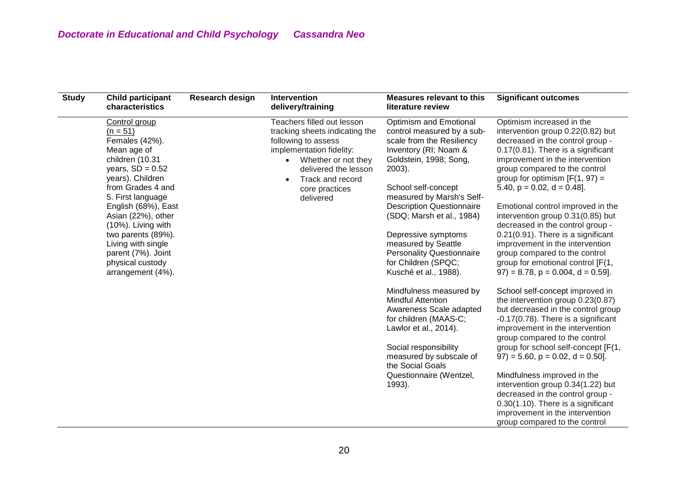| <b>Study</b> | <b>Child participant</b><br>characteristics                                                                                                                                                                                                                                                                                                       | Research design | Intervention<br>delivery/training                                                                                                                                                                                              | <b>Measures relevant to this</b><br>literature review                                                                                                                                                                                                                                                                                                                                                    | <b>Significant outcomes</b>                                                                                                                                                                                                                                                                                                                                                                                                                                                                                                                                                               |
|--------------|---------------------------------------------------------------------------------------------------------------------------------------------------------------------------------------------------------------------------------------------------------------------------------------------------------------------------------------------------|-----------------|--------------------------------------------------------------------------------------------------------------------------------------------------------------------------------------------------------------------------------|----------------------------------------------------------------------------------------------------------------------------------------------------------------------------------------------------------------------------------------------------------------------------------------------------------------------------------------------------------------------------------------------------------|-------------------------------------------------------------------------------------------------------------------------------------------------------------------------------------------------------------------------------------------------------------------------------------------------------------------------------------------------------------------------------------------------------------------------------------------------------------------------------------------------------------------------------------------------------------------------------------------|
|              | Control group<br>$(n = 51)$<br>Females (42%).<br>Mean age of<br>children (10.31<br>years, $SD = 0.52$<br>years). Children<br>from Grades 4 and<br>5. First language<br>English (68%), East<br>Asian (22%), other<br>(10%). Living with<br>two parents (89%).<br>Living with single<br>parent (7%). Joint<br>physical custody<br>arrangement (4%). |                 | Teachers filled out lesson<br>tracking sheets indicating the<br>following to assess<br>implementation fidelity:<br>Whether or not they<br>$\bullet$<br>delivered the lesson<br>Track and record<br>core practices<br>delivered | Optimism and Emotional<br>control measured by a sub-<br>scale from the Resiliency<br>Inventory (RI; Noam &<br>Goldstein, 1998; Song,<br>$2003$ ).<br>School self-concept<br>measured by Marsh's Self-<br><b>Description Questionnaire</b><br>(SDQ; Marsh et al., 1984)<br>Depressive symptoms<br>measured by Seattle<br><b>Personality Questionnaire</b><br>for Children (SPQC;<br>Kusché et al., 1988). | Optimism increased in the<br>intervention group 0.22(0.82) but<br>decreased in the control group -<br>0.17(0.81). There is a significant<br>improvement in the intervention<br>group compared to the control<br>group for optimism $[F(1, 97) =$<br>5.40, $p = 0.02$ , $d = 0.48$ ].<br>Emotional control improved in the<br>intervention group 0.31(0.85) but<br>decreased in the control group -<br>0.21(0.91). There is a significant<br>improvement in the intervention<br>group compared to the control<br>group for emotional control [F(1,<br>$97$ ) = 8.78, p = 0.004, d = 0.59]. |
|              |                                                                                                                                                                                                                                                                                                                                                   |                 |                                                                                                                                                                                                                                | Mindfulness measured by<br><b>Mindful Attention</b><br>Awareness Scale adapted<br>for children (MAAS-C;<br>Lawlor et al., 2014).<br>Social responsibility<br>measured by subscale of<br>the Social Goals<br>Questionnaire (Wentzel,<br>1993).                                                                                                                                                            | School self-concept improved in<br>the intervention group 0.23(0.87)<br>but decreased in the control group<br>-0.17(0.78). There is a significant<br>improvement in the intervention<br>group compared to the control<br>group for school self-concept [F(1,<br>$97$ ) = 5.60, p = 0.02, d = 0.50].<br>Mindfulness improved in the<br>intervention group 0.34(1.22) but<br>decreased in the control group -<br>0.30(1.10). There is a significant<br>improvement in the intervention<br>group compared to the control                                                                     |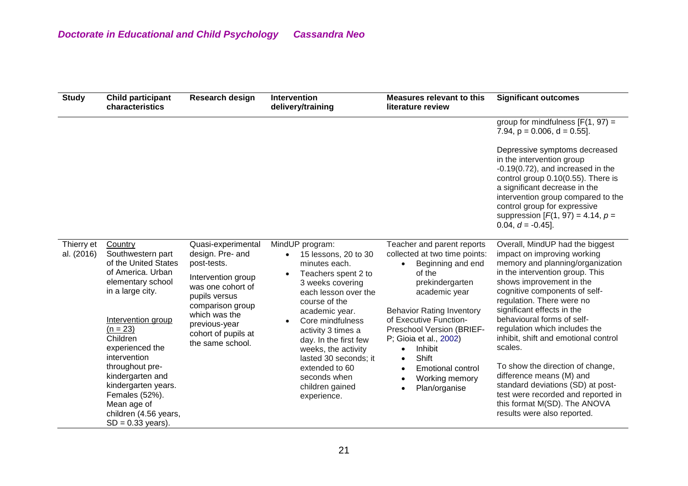| <b>Study</b>             | <b>Child participant</b><br>characteristics                                                                                                                                                                                                                                                                                                          | Research design                                                                                                                                                                                                    | Intervention<br>delivery/training                                                                                                                                                                                                                                                                                                                                  | <b>Measures relevant to this</b><br>literature review                                                                                                                                                                                                                                                                                               | <b>Significant outcomes</b>                                                                                                                                                                                                                                                                                                                                                                                                                                                                                                                                                               |
|--------------------------|------------------------------------------------------------------------------------------------------------------------------------------------------------------------------------------------------------------------------------------------------------------------------------------------------------------------------------------------------|--------------------------------------------------------------------------------------------------------------------------------------------------------------------------------------------------------------------|--------------------------------------------------------------------------------------------------------------------------------------------------------------------------------------------------------------------------------------------------------------------------------------------------------------------------------------------------------------------|-----------------------------------------------------------------------------------------------------------------------------------------------------------------------------------------------------------------------------------------------------------------------------------------------------------------------------------------------------|-------------------------------------------------------------------------------------------------------------------------------------------------------------------------------------------------------------------------------------------------------------------------------------------------------------------------------------------------------------------------------------------------------------------------------------------------------------------------------------------------------------------------------------------------------------------------------------------|
|                          |                                                                                                                                                                                                                                                                                                                                                      |                                                                                                                                                                                                                    |                                                                                                                                                                                                                                                                                                                                                                    |                                                                                                                                                                                                                                                                                                                                                     | group for mindfulness $[F(1, 97) =$<br>7.94, $p = 0.006$ , $d = 0.55$ ].                                                                                                                                                                                                                                                                                                                                                                                                                                                                                                                  |
|                          |                                                                                                                                                                                                                                                                                                                                                      |                                                                                                                                                                                                                    |                                                                                                                                                                                                                                                                                                                                                                    |                                                                                                                                                                                                                                                                                                                                                     | Depressive symptoms decreased<br>in the intervention group<br>$-0.19(0.72)$ , and increased in the<br>control group 0.10(0.55). There is<br>a significant decrease in the<br>intervention group compared to the<br>control group for expressive<br>suppression $[F(1, 97) = 4.14, p =$<br>$0.04, d = -0.45$ ].                                                                                                                                                                                                                                                                            |
| Thierry et<br>al. (2016) | Country<br>Southwestern part<br>of the United States<br>of America. Urban<br>elementary school<br>in a large city.<br>Intervention group<br>$(n = 23)$<br>Children<br>experienced the<br>intervention<br>throughout pre-<br>kindergarten and<br>kindergarten years.<br>Females (52%).<br>Mean age of<br>children (4.56 years,<br>$SD = 0.33$ years). | Quasi-experimental<br>design. Pre- and<br>post-tests.<br>Intervention group<br>was one cohort of<br>pupils versus<br>comparison group<br>which was the<br>previous-year<br>cohort of pupils at<br>the same school. | MindUP program:<br>15 lessons, 20 to 30<br>minutes each.<br>Teachers spent 2 to<br>$\bullet$<br>3 weeks covering<br>each lesson over the<br>course of the<br>academic year.<br>Core mindfulness<br>activity 3 times a<br>day. In the first few<br>weeks, the activity<br>lasted 30 seconds; it<br>extended to 60<br>seconds when<br>children gained<br>experience. | Teacher and parent reports<br>collected at two time points:<br>Beginning and end<br>of the<br>prekindergarten<br>academic year<br><b>Behavior Rating Inventory</b><br>of Executive Function-<br>Preschool Version (BRIEF-<br>P; Gioia et al., 2002)<br>Inhibit<br>Shift<br>$\bullet$<br><b>Emotional control</b><br>Working memory<br>Plan/organise | Overall, MindUP had the biggest<br>impact on improving working<br>memory and planning/organization<br>in the intervention group. This<br>shows improvement in the<br>cognitive components of self-<br>regulation. There were no<br>significant effects in the<br>behavioural forms of self-<br>regulation which includes the<br>inhibit, shift and emotional control<br>scales.<br>To show the direction of change,<br>difference means (M) and<br>standard deviations (SD) at post-<br>test were recorded and reported in<br>this format M(SD). The ANOVA<br>results were also reported. |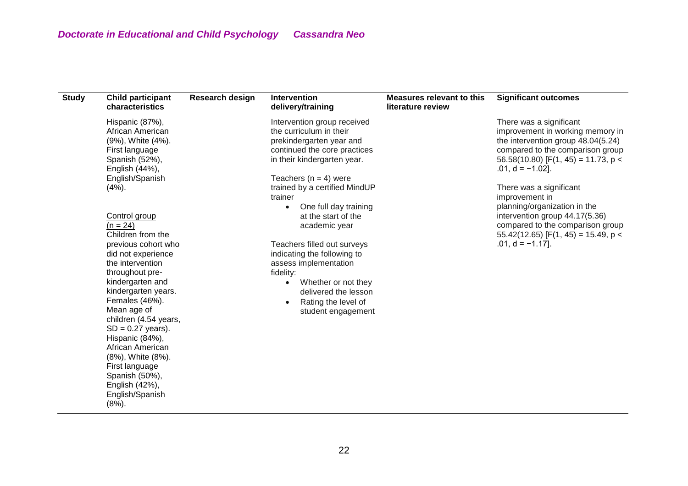| <b>Study</b> | <b>Child participant</b><br>characteristics                                                                                                                                                                                                                              | Research design | Intervention<br>delivery/training                                                                                                                                                                         | <b>Measures relevant to this</b><br>literature review | <b>Significant outcomes</b>                                                                                                                                                                           |
|--------------|--------------------------------------------------------------------------------------------------------------------------------------------------------------------------------------------------------------------------------------------------------------------------|-----------------|-----------------------------------------------------------------------------------------------------------------------------------------------------------------------------------------------------------|-------------------------------------------------------|-------------------------------------------------------------------------------------------------------------------------------------------------------------------------------------------------------|
|              | Hispanic (87%),<br>African American<br>(9%), White (4%).<br>First language<br>Spanish (52%),<br>English (44%),                                                                                                                                                           |                 | Intervention group received<br>the curriculum in their<br>prekindergarten year and<br>continued the core practices<br>in their kindergarten year.                                                         |                                                       | There was a significant<br>improvement in working memory in<br>the intervention group 48.04(5.24)<br>compared to the comparison group<br>56.58(10.80) [F(1, 45) = 11.73, $p <$<br>$.01, d = -1.02$ ]. |
|              | English/Spanish<br>(4%).<br>Control group<br>$(n = 24)$                                                                                                                                                                                                                  |                 | Teachers ( $n = 4$ ) were<br>trained by a certified MindUP<br>trainer<br>One full day training<br>$\bullet$<br>at the start of the<br>academic year                                                       |                                                       | There was a significant<br>improvement in<br>planning/organization in the<br>intervention group 44.17(5.36)<br>compared to the comparison group                                                       |
|              | Children from the<br>previous cohort who<br>did not experience<br>the intervention<br>throughout pre-<br>kindergarten and<br>kindergarten years.<br>Females (46%).<br>Mean age of<br>children (4.54 years,<br>$SD = 0.27$ years).<br>Hispanic (84%),<br>African American |                 | Teachers filled out surveys<br>indicating the following to<br>assess implementation<br>fidelity:<br>Whether or not they<br>$\bullet$<br>delivered the lesson<br>Rating the level of<br>student engagement |                                                       | $55.42(12.65)$ [F(1, 45) = 15.49, p <<br>$.01, d = -1.17$ ].                                                                                                                                          |
|              | (8%), White (8%).<br>First language<br>Spanish (50%),<br>English (42%),<br>English/Spanish<br>$(8%)$ .                                                                                                                                                                   |                 |                                                                                                                                                                                                           |                                                       |                                                                                                                                                                                                       |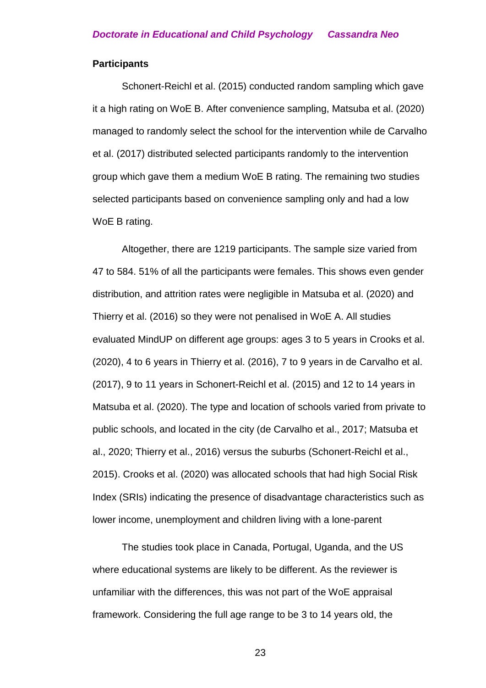#### **Participants**

Schonert-Reichl et al. (2015) conducted random sampling which gave it a high rating on WoE B. After convenience sampling, Matsuba et al. (2020) managed to randomly select the school for the intervention while de Carvalho et al. (2017) distributed selected participants randomly to the intervention group which gave them a medium WoE B rating. The remaining two studies selected participants based on convenience sampling only and had a low WoE B rating.

Altogether, there are 1219 participants. The sample size varied from 47 to 584. 51% of all the participants were females. This shows even gender distribution, and attrition rates were negligible in Matsuba et al. (2020) and Thierry et al. (2016) so they were not penalised in WoE A. All studies evaluated MindUP on different age groups: ages 3 to 5 years in Crooks et al. (2020), 4 to 6 years in Thierry et al. (2016), 7 to 9 years in de Carvalho et al. (2017), 9 to 11 years in Schonert-Reichl et al. (2015) and 12 to 14 years in Matsuba et al. (2020). The type and location of schools varied from private to public schools, and located in the city (de Carvalho et al., 2017; Matsuba et al., 2020; Thierry et al., 2016) versus the suburbs (Schonert-Reichl et al., 2015). Crooks et al. (2020) was allocated schools that had high Social Risk Index (SRIs) indicating the presence of disadvantage characteristics such as lower income, unemployment and children living with a lone-parent

The studies took place in Canada, Portugal, Uganda, and the US where educational systems are likely to be different. As the reviewer is unfamiliar with the differences, this was not part of the WoE appraisal framework. Considering the full age range to be 3 to 14 years old, the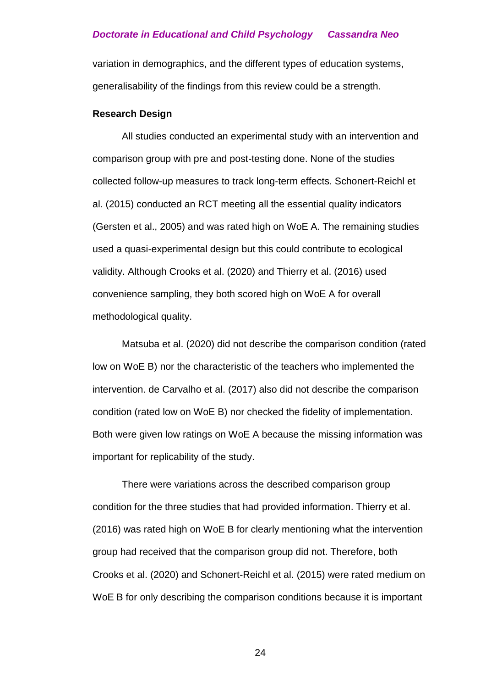variation in demographics, and the different types of education systems, generalisability of the findings from this review could be a strength.

#### **Research Design**

All studies conducted an experimental study with an intervention and comparison group with pre and post-testing done. None of the studies collected follow-up measures to track long-term effects. Schonert-Reichl et al. (2015) conducted an RCT meeting all the essential quality indicators (Gersten et al., 2005) and was rated high on WoE A. The remaining studies used a quasi-experimental design but this could contribute to ecological validity. Although Crooks et al. (2020) and Thierry et al. (2016) used convenience sampling, they both scored high on WoE A for overall methodological quality.

Matsuba et al. (2020) did not describe the comparison condition (rated low on WoE B) nor the characteristic of the teachers who implemented the intervention. de Carvalho et al. (2017) also did not describe the comparison condition (rated low on WoE B) nor checked the fidelity of implementation. Both were given low ratings on WoE A because the missing information was important for replicability of the study.

There were variations across the described comparison group condition for the three studies that had provided information. Thierry et al. (2016) was rated high on WoE B for clearly mentioning what the intervention group had received that the comparison group did not. Therefore, both Crooks et al. (2020) and Schonert-Reichl et al. (2015) were rated medium on WoE B for only describing the comparison conditions because it is important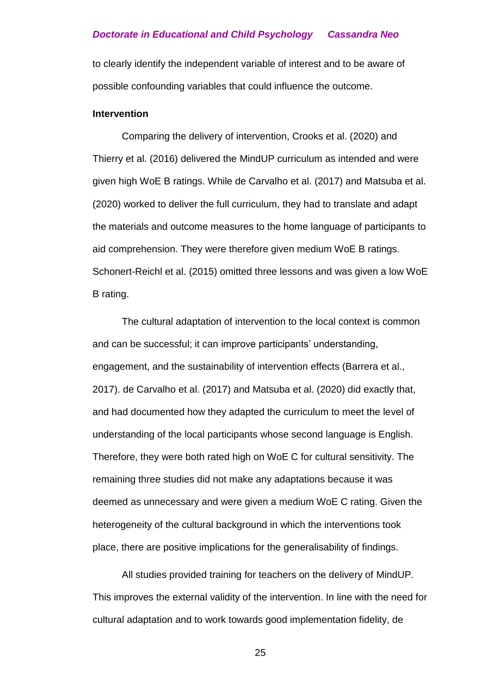to clearly identify the independent variable of interest and to be aware of possible confounding variables that could influence the outcome.

#### **Intervention**

Comparing the delivery of intervention, Crooks et al. (2020) and Thierry et al. (2016) delivered the MindUP curriculum as intended and were given high WoE B ratings. While de Carvalho et al. (2017) and Matsuba et al. (2020) worked to deliver the full curriculum, they had to translate and adapt the materials and outcome measures to the home language of participants to aid comprehension. They were therefore given medium WoE B ratings. Schonert-Reichl et al. (2015) omitted three lessons and was given a low WoE B rating.

The cultural adaptation of intervention to the local context is common and can be successful; it can improve participants' understanding, engagement, and the sustainability of intervention effects (Barrera et al., 2017). de Carvalho et al. (2017) and Matsuba et al. (2020) did exactly that, and had documented how they adapted the curriculum to meet the level of understanding of the local participants whose second language is English. Therefore, they were both rated high on WoE C for cultural sensitivity. The remaining three studies did not make any adaptations because it was deemed as unnecessary and were given a medium WoE C rating. Given the heterogeneity of the cultural background in which the interventions took place, there are positive implications for the generalisability of findings.

All studies provided training for teachers on the delivery of MindUP. This improves the external validity of the intervention. In line with the need for cultural adaptation and to work towards good implementation fidelity, de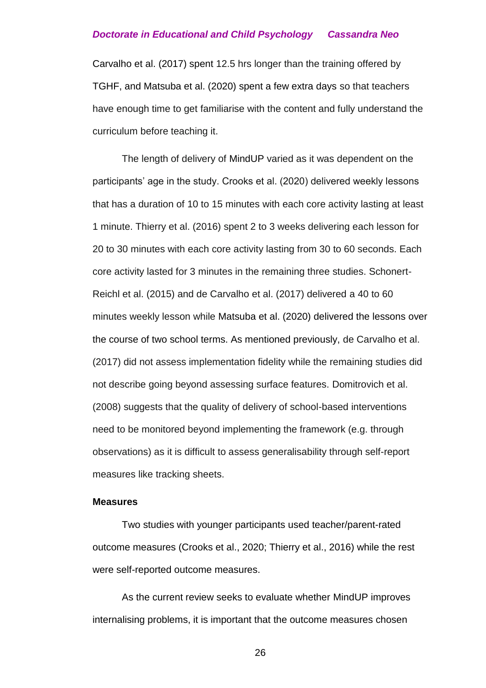Carvalho et al. (2017) spent 12.5 hrs longer than the training offered by TGHF, and Matsuba et al. (2020) spent a few extra days so that teachers have enough time to get familiarise with the content and fully understand the curriculum before teaching it.

The length of delivery of MindUP varied as it was dependent on the participants' age in the study. Crooks et al. (2020) delivered weekly lessons that has a duration of 10 to 15 minutes with each core activity lasting at least 1 minute. Thierry et al. (2016) spent 2 to 3 weeks delivering each lesson for 20 to 30 minutes with each core activity lasting from 30 to 60 seconds. Each core activity lasted for 3 minutes in the remaining three studies. Schonert-Reichl et al. (2015) and de Carvalho et al. (2017) delivered a 40 to 60 minutes weekly lesson while Matsuba et al. (2020) delivered the lessons over the course of two school terms. As mentioned previously, de Carvalho et al. (2017) did not assess implementation fidelity while the remaining studies did not describe going beyond assessing surface features. Domitrovich et al. (2008) suggests that the quality of delivery of school-based interventions need to be monitored beyond implementing the framework (e.g. through observations) as it is difficult to assess generalisability through self-report measures like tracking sheets.

#### **Measures**

Two studies with younger participants used teacher/parent-rated outcome measures (Crooks et al., 2020; Thierry et al., 2016) while the rest were self-reported outcome measures.

As the current review seeks to evaluate whether MindUP improves internalising problems, it is important that the outcome measures chosen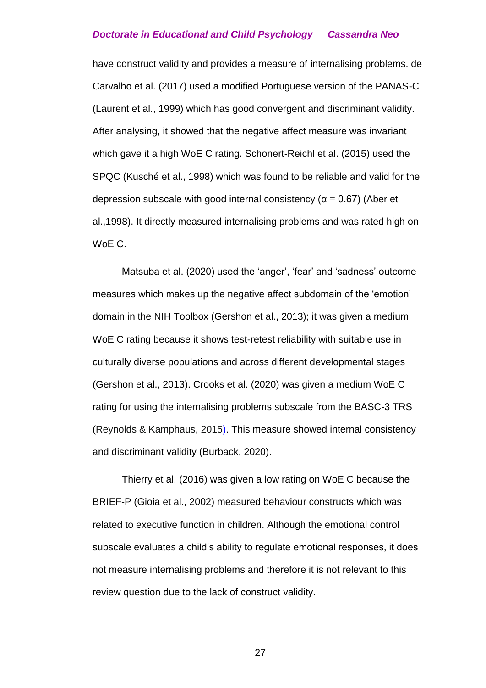have construct validity and provides a measure of internalising problems. de Carvalho et al. (2017) used a modified Portuguese version of the PANAS-C (Laurent et al., 1999) which has good convergent and discriminant validity. After analysing, it showed that the negative affect measure was invariant which gave it a high WoE C rating. Schonert-Reichl et al. (2015) used the SPQC (Kusché et al., 1998) which was found to be reliable and valid for the depression subscale with good internal consistency ( $\alpha$  = 0.67) (Aber et al.,1998). It directly measured internalising problems and was rated high on WoE C.

Matsuba et al. (2020) used the 'anger', 'fear' and 'sadness' outcome measures which makes up the negative affect subdomain of the 'emotion' domain in the NIH Toolbox (Gershon et al., 2013); it was given a medium WoE C rating because it shows test-retest reliability with suitable use in culturally diverse populations and across different developmental stages (Gershon et al., 2013). Crooks et al. (2020) was given a medium WoE C rating for using the internalising problems subscale from the BASC-3 TRS (Reynolds & Kamphaus, 2015). This measure showed internal consistency and discriminant validity (Burback, 2020).

Thierry et al. (2016) was given a low rating on WoE C because the BRIEF-P (Gioia et al., 2002) measured behaviour constructs which was related to executive function in children. Although the emotional control subscale evaluates a child's ability to regulate emotional responses, it does not measure internalising problems and therefore it is not relevant to this review question due to the lack of construct validity.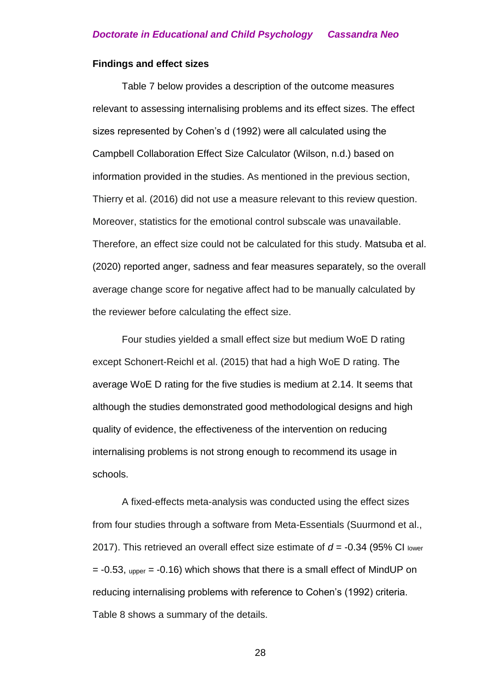#### **Findings and effect sizes**

Table 7 below provides a description of the outcome measures relevant to assessing internalising problems and its effect sizes. The effect sizes represented by Cohen's d (1992) were all calculated using the Campbell Collaboration Effect Size Calculator (Wilson, n.d.) based on information provided in the studies. As mentioned in the previous section, Thierry et al. (2016) did not use a measure relevant to this review question. Moreover, statistics for the emotional control subscale was unavailable. Therefore, an effect size could not be calculated for this study. Matsuba et al. (2020) reported anger, sadness and fear measures separately, so the overall average change score for negative affect had to be manually calculated by the reviewer before calculating the effect size.

Four studies yielded a small effect size but medium WoE D rating except Schonert-Reichl et al. (2015) that had a high WoE D rating. The average WoE D rating for the five studies is medium at 2.14. It seems that although the studies demonstrated good methodological designs and high quality of evidence, the effectiveness of the intervention on reducing internalising problems is not strong enough to recommend its usage in schools.

A fixed-effects meta-analysis was conducted using the effect sizes from four studies through a software from Meta-Essentials (Suurmond et al., 2017). This retrieved an overall effect size estimate of *d* = -0.34 (95% CI lower  $= -0.53$ , upper  $= -0.16$ ) which shows that there is a small effect of MindUP on reducing internalising problems with reference to Cohen's (1992) criteria. Table 8 shows a summary of the details.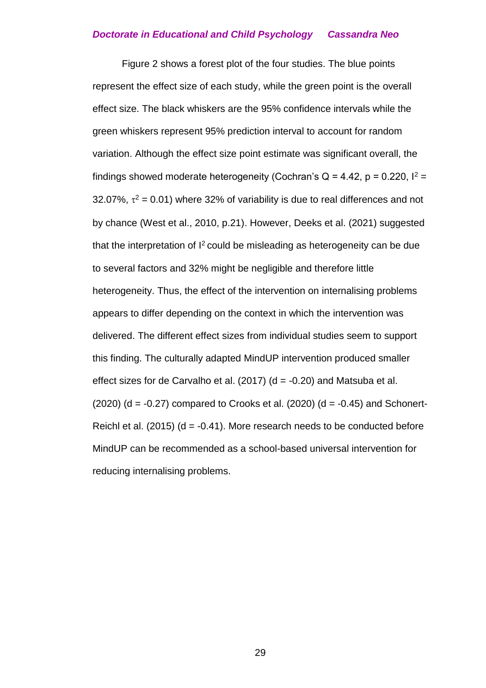Figure 2 shows a forest plot of the four studies. The blue points represent the effect size of each study, while the green point is the overall effect size. The black whiskers are the 95% confidence intervals while the green whiskers represent 95% prediction interval to account for random variation. Although the effect size point estimate was significant overall, the findings showed moderate heterogeneity (Cochran's  $Q = 4.42$ ,  $p = 0.220$ ,  $l^2 =$ 32.07%,  $\tau^2$  = 0.01) where 32% of variability is due to real differences and not by chance (West et al., 2010, p.21). However, Deeks et al. (2021) suggested that the interpretation of  $I^2$  could be misleading as heterogeneity can be due to several factors and 32% might be negligible and therefore little heterogeneity. Thus, the effect of the intervention on internalising problems appears to differ depending on the context in which the intervention was delivered. The different effect sizes from individual studies seem to support this finding. The culturally adapted MindUP intervention produced smaller effect sizes for de Carvalho et al. (2017) ( $d = -0.20$ ) and Matsuba et al.  $(2020)$  (d =  $-0.27$ ) compared to Crooks et al. (2020) (d =  $-0.45$ ) and Schonert-Reichl et al. (2015) ( $d = -0.41$ ). More research needs to be conducted before MindUP can be recommended as a school-based universal intervention for reducing internalising problems.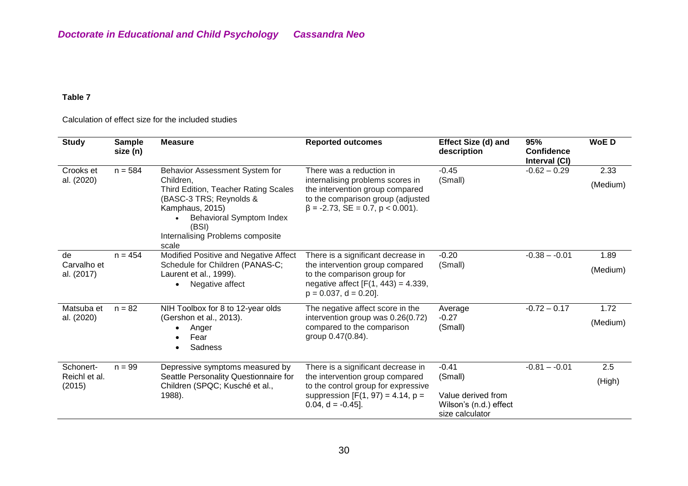#### **Table 7**

#### Calculation of effect size for the included studies

| <b>Study</b>                         | <b>Sample</b><br>size (n) | <b>Measure</b>                                                                                                                                                                                                             | <b>Reported outcomes</b>                                                                                                                                                       | Effect Size (d) and<br>description                                                    | 95%<br>Confidence<br>Interval (CI) | <b>WoED</b>      |
|--------------------------------------|---------------------------|----------------------------------------------------------------------------------------------------------------------------------------------------------------------------------------------------------------------------|--------------------------------------------------------------------------------------------------------------------------------------------------------------------------------|---------------------------------------------------------------------------------------|------------------------------------|------------------|
| Crooks et<br>al. (2020)              | $n = 584$                 | Behavior Assessment System for<br>Children.<br>Third Edition, Teacher Rating Scales<br>(BASC-3 TRS; Reynolds &<br>Kamphaus, 2015)<br><b>Behavioral Symptom Index</b><br>(BSI)<br>Internalising Problems composite<br>scale | There was a reduction in<br>internalising problems scores in<br>the intervention group compared<br>to the comparison group (adjusted<br>$\beta$ = -2.73, SE = 0.7, p < 0.001). | $-0.45$<br>(Small)                                                                    | $-0.62 - 0.29$                     | 2.33<br>(Medium) |
| de<br>Carvalho et<br>al. (2017)      | $n = 454$                 | Modified Positive and Negative Affect<br>Schedule for Children (PANAS-C;<br>Laurent et al., 1999).<br>Negative affect<br>$\bullet$                                                                                         | There is a significant decrease in<br>the intervention group compared<br>to the comparison group for<br>negative affect $[F(1, 443) = 4.339,$<br>$p = 0.037$ , d = 0.20].      | $-0.20$<br>(Small)                                                                    | $-0.38 - -0.01$                    | 1.89<br>(Medium) |
| Matsuba et<br>al. (2020)             | $n = 82$                  | NIH Toolbox for 8 to 12-year olds<br>(Gershon et al., 2013).<br>Anger<br>$\bullet$<br>Fear<br>Sadness<br>$\bullet$                                                                                                         | The negative affect score in the<br>intervention group was 0.26(0.72)<br>compared to the comparison<br>group 0.47(0.84).                                                       | Average<br>$-0.27$<br>(Small)                                                         | $-0.72 - 0.17$                     | 1.72<br>(Medium) |
| Schonert-<br>Reichl et al.<br>(2015) | $n = 99$                  | Depressive symptoms measured by<br>Seattle Personality Questionnaire for<br>Children (SPQC; Kusché et al.,<br>1988).                                                                                                       | There is a significant decrease in<br>the intervention group compared<br>to the control group for expressive<br>suppression $[F(1, 97) = 4.14, p =$<br>$0.04$ , d = $-0.45$ ]. | $-0.41$<br>(Small)<br>Value derived from<br>Wilson's (n.d.) effect<br>size calculator | $-0.81 - -0.01$                    | 2.5<br>(High)    |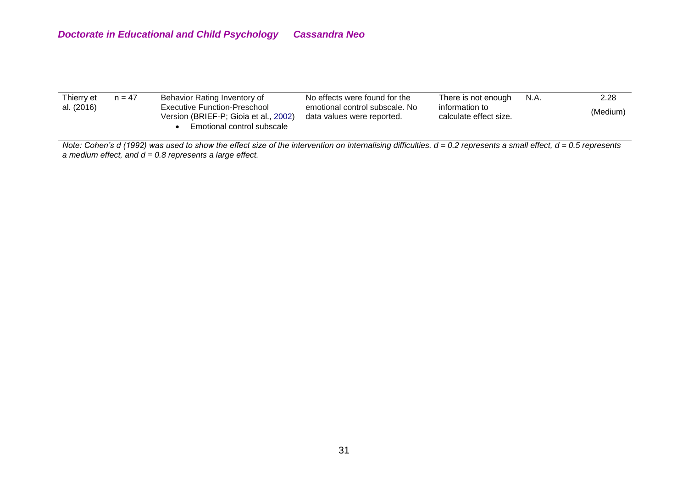| Thierry et<br>al. (2016) | $n = 47$ | Behavior Rating Inventory of<br>Executive Function-Preschool<br>Version (BRIEF-P; Gioia et al., 2002) | No effects were found for the<br>emotional control subscale. No<br>data values were reported. | There is not enough<br>information to<br>calculate effect size. | N.A. | 2.28<br>(Medium) |
|--------------------------|----------|-------------------------------------------------------------------------------------------------------|-----------------------------------------------------------------------------------------------|-----------------------------------------------------------------|------|------------------|
|                          |          | Emotional control subscale                                                                            |                                                                                               |                                                                 |      |                  |

*Note: Cohen's d (1992) was used to show the effect size of the intervention on internalising difficulties. d = 0.2 represents a small effect, d = 0.5 represents a medium effect, and d = 0.8 represents a large effect.*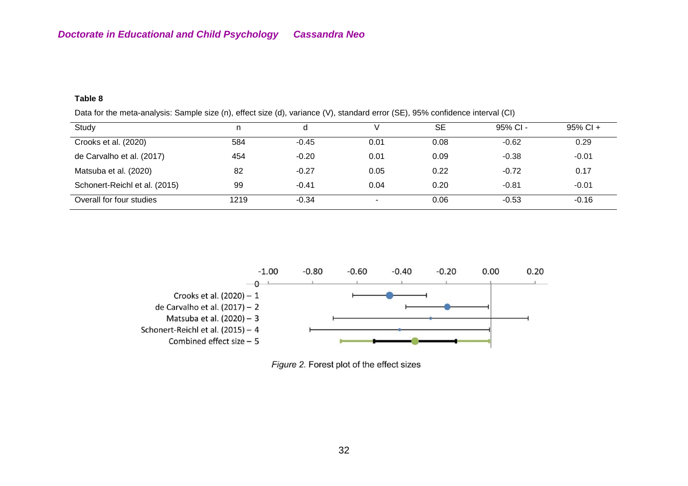#### **Table 8**

|  | Data for the meta-analysis: Sample size (n), effect size (d), variance (V), standard error (SE), 95% confidence interval (CI) |
|--|-------------------------------------------------------------------------------------------------------------------------------|
|  |                                                                                                                               |

| Study                         |      |         |      | <b>SE</b> | $95%$ CI - | $95\%$ CI + |
|-------------------------------|------|---------|------|-----------|------------|-------------|
| Crooks et al. (2020)          | 584  | $-0.45$ | 0.01 | 0.08      | $-0.62$    | 0.29        |
| de Carvalho et al. (2017)     | 454  | $-0.20$ | 0.01 | 0.09      | $-0.38$    | $-0.01$     |
| Matsuba et al. (2020)         | 82   | $-0.27$ | 0.05 | 0.22      | $-0.72$    | 0.17        |
| Schonert-Reichl et al. (2015) | 99   | $-0.41$ | 0.04 | 0.20      | $-0.81$    | $-0.01$     |
| Overall for four studies      | 1219 | $-0.34$ |      | 0.06      | $-0.53$    | $-0.16$     |



Figure 2. Forest plot of the effect sizes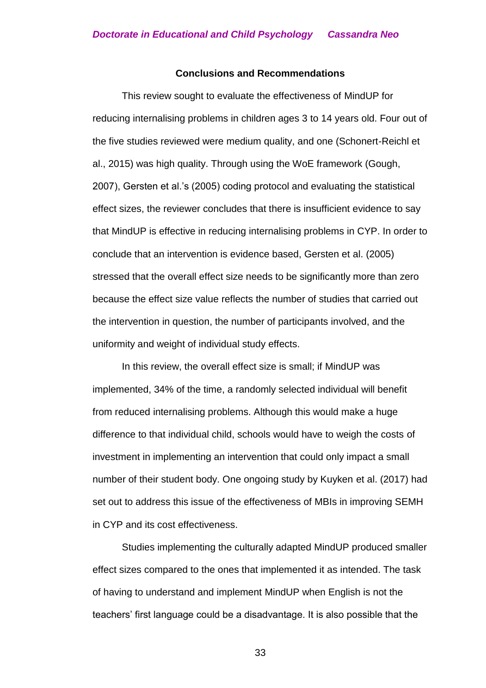#### **Conclusions and Recommendations**

This review sought to evaluate the effectiveness of MindUP for reducing internalising problems in children ages 3 to 14 years old. Four out of the five studies reviewed were medium quality, and one (Schonert-Reichl et al., 2015) was high quality. Through using the WoE framework (Gough, 2007), Gersten et al.'s (2005) coding protocol and evaluating the statistical effect sizes, the reviewer concludes that there is insufficient evidence to say that MindUP is effective in reducing internalising problems in CYP. In order to conclude that an intervention is evidence based, Gersten et al. (2005) stressed that the overall effect size needs to be significantly more than zero because the effect size value reflects the number of studies that carried out the intervention in question, the number of participants involved, and the uniformity and weight of individual study effects.

In this review, the overall effect size is small; if MindUP was implemented, 34% of the time, a randomly selected individual will benefit from reduced internalising problems. Although this would make a huge difference to that individual child, schools would have to weigh the costs of investment in implementing an intervention that could only impact a small number of their student body. One ongoing study by Kuyken et al. (2017) had set out to address this issue of the effectiveness of MBIs in improving SEMH in CYP and its cost effectiveness.

Studies implementing the culturally adapted MindUP produced smaller effect sizes compared to the ones that implemented it as intended. The task of having to understand and implement MindUP when English is not the teachers' first language could be a disadvantage. It is also possible that the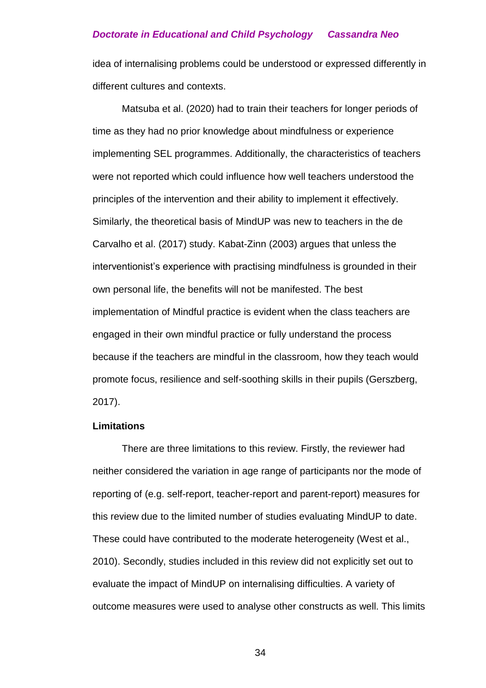idea of internalising problems could be understood or expressed differently in different cultures and contexts.

Matsuba et al. (2020) had to train their teachers for longer periods of time as they had no prior knowledge about mindfulness or experience implementing SEL programmes. Additionally, the characteristics of teachers were not reported which could influence how well teachers understood the principles of the intervention and their ability to implement it effectively. Similarly, the theoretical basis of MindUP was new to teachers in the de Carvalho et al. (2017) study. Kabat-Zinn (2003) argues that unless the interventionist's experience with practising mindfulness is grounded in their own personal life, the benefits will not be manifested. The best implementation of Mindful practice is evident when the class teachers are engaged in their own mindful practice or fully understand the process because if the teachers are mindful in the classroom, how they teach would promote focus, resilience and self-soothing skills in their pupils (Gerszberg, 2017).

#### **Limitations**

There are three limitations to this review. Firstly, the reviewer had neither considered the variation in age range of participants nor the mode of reporting of (e.g. self-report, teacher-report and parent-report) measures for this review due to the limited number of studies evaluating MindUP to date. These could have contributed to the moderate heterogeneity (West et al., 2010). Secondly, studies included in this review did not explicitly set out to evaluate the impact of MindUP on internalising difficulties. A variety of outcome measures were used to analyse other constructs as well. This limits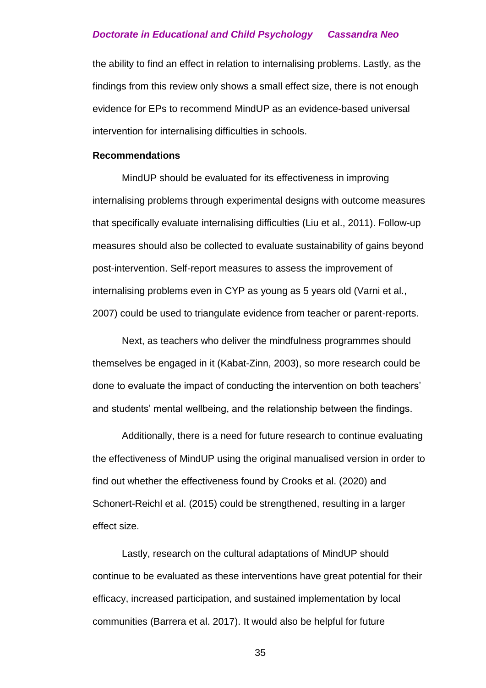the ability to find an effect in relation to internalising problems. Lastly, as the findings from this review only shows a small effect size, there is not enough evidence for EPs to recommend MindUP as an evidence-based universal intervention for internalising difficulties in schools.

#### **Recommendations**

MindUP should be evaluated for its effectiveness in improving internalising problems through experimental designs with outcome measures that specifically evaluate internalising difficulties (Liu et al., 2011). Follow-up measures should also be collected to evaluate sustainability of gains beyond post-intervention. Self-report measures to assess the improvement of internalising problems even in CYP as young as 5 years old (Varni et al., 2007) could be used to triangulate evidence from teacher or parent-reports.

Next, as teachers who deliver the mindfulness programmes should themselves be engaged in it (Kabat-Zinn, 2003), so more research could be done to evaluate the impact of conducting the intervention on both teachers' and students' mental wellbeing, and the relationship between the findings.

Additionally, there is a need for future research to continue evaluating the effectiveness of MindUP using the original manualised version in order to find out whether the effectiveness found by Crooks et al. (2020) and Schonert-Reichl et al. (2015) could be strengthened, resulting in a larger effect size.

Lastly, research on the cultural adaptations of MindUP should continue to be evaluated as these interventions have great potential for their efficacy, increased participation, and sustained implementation by local communities (Barrera et al. 2017). It would also be helpful for future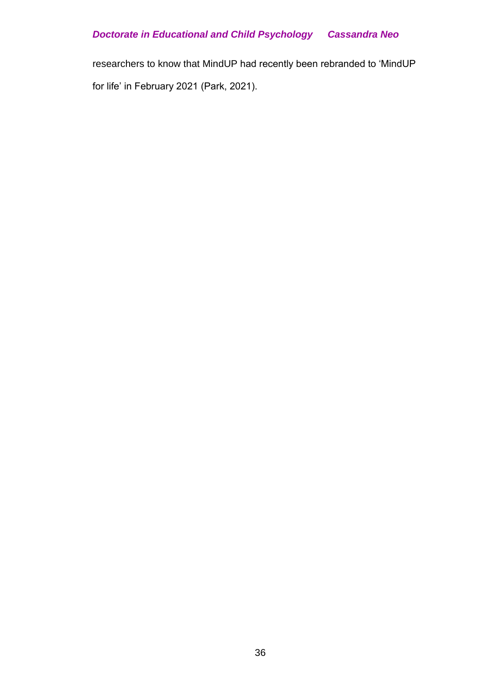researchers to know that MindUP had recently been rebranded to 'MindUP for life' in February 2021 (Park, 2021).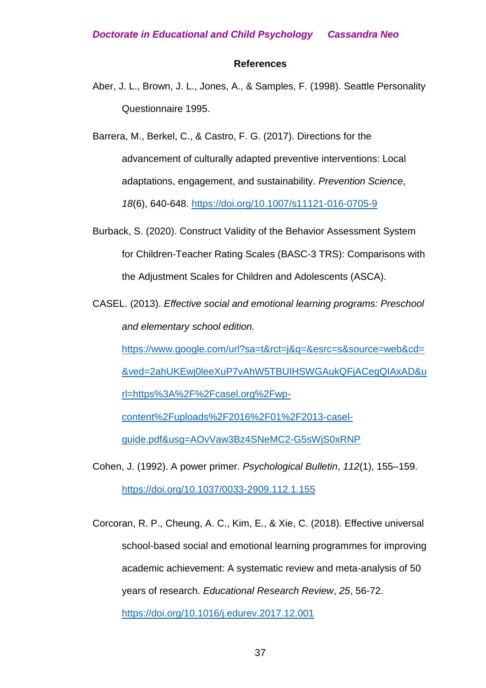#### **References**

Aber, J. L., Brown, J. L., Jones, A., & Samples, F. (1998). Seattle Personality Questionnaire 1995.

Barrera, M., Berkel, C., & Castro, F. G. (2017). Directions for the advancement of culturally adapted preventive interventions: Local adaptations, engagement, and sustainability. *Prevention Science*, *18*(6), 640-648. <https://doi.org/10.1007/s11121-016-0705-9>

- Burback, S. (2020). Construct Validity of the Behavior Assessment System for Children-Teacher Rating Scales (BASC-3 TRS): Comparisons with the Adjustment Scales for Children and Adolescents (ASCA).
- CASEL. (2013). *Effective social and emotional learning programs: Preschool and elementary school edition.*

[https://www.google.com/url?sa=t&rct=j&q=&esrc=s&source=web&cd=](https://www.google.com/url?sa=t&rct=j&q=&esrc=s&source=web&cd=&ved=2ahUKEwj0leeXuP7vAhW5TBUIHSWGAukQFjACegQIAxAD&url=https%3A%2F%2Fcasel.org%2Fwp-content%2Fuploads%2F2016%2F01%2F2013-casel-guide.pdf&usg=AOvVaw3Bz4SNeMC2-G5sWjS0xRNP)

[&ved=2ahUKEwj0leeXuP7vAhW5TBUIHSWGAukQFjACegQIAxAD&u](https://www.google.com/url?sa=t&rct=j&q=&esrc=s&source=web&cd=&ved=2ahUKEwj0leeXuP7vAhW5TBUIHSWGAukQFjACegQIAxAD&url=https%3A%2F%2Fcasel.org%2Fwp-content%2Fuploads%2F2016%2F01%2F2013-casel-guide.pdf&usg=AOvVaw3Bz4SNeMC2-G5sWjS0xRNP)

[rl=https%3A%2F%2Fcasel.org%2Fwp-](https://www.google.com/url?sa=t&rct=j&q=&esrc=s&source=web&cd=&ved=2ahUKEwj0leeXuP7vAhW5TBUIHSWGAukQFjACegQIAxAD&url=https%3A%2F%2Fcasel.org%2Fwp-content%2Fuploads%2F2016%2F01%2F2013-casel-guide.pdf&usg=AOvVaw3Bz4SNeMC2-G5sWjS0xRNP)

[content%2Fuploads%2F2016%2F01%2F2013-casel-](https://www.google.com/url?sa=t&rct=j&q=&esrc=s&source=web&cd=&ved=2ahUKEwj0leeXuP7vAhW5TBUIHSWGAukQFjACegQIAxAD&url=https%3A%2F%2Fcasel.org%2Fwp-content%2Fuploads%2F2016%2F01%2F2013-casel-guide.pdf&usg=AOvVaw3Bz4SNeMC2-G5sWjS0xRNP)

[guide.pdf&usg=AOvVaw3Bz4SNeMC2-G5sWjS0xRNP](https://www.google.com/url?sa=t&rct=j&q=&esrc=s&source=web&cd=&ved=2ahUKEwj0leeXuP7vAhW5TBUIHSWGAukQFjACegQIAxAD&url=https%3A%2F%2Fcasel.org%2Fwp-content%2Fuploads%2F2016%2F01%2F2013-casel-guide.pdf&usg=AOvVaw3Bz4SNeMC2-G5sWjS0xRNP)

Cohen, J. (1992). A power primer. *Psychological Bulletin*, *112*(1), 155–159. <https://doi.org/10.1037/0033-2909.112.1.155>

Corcoran, R. P., Cheung, A. C., Kim, E., & Xie, C. (2018). Effective universal school-based social and emotional learning programmes for improving academic achievement: A systematic review and meta-analysis of 50 years of research. *Educational Research Review*, *25*, 56-72. <https://doi.org/10.1016/j.edurev.2017.12.001>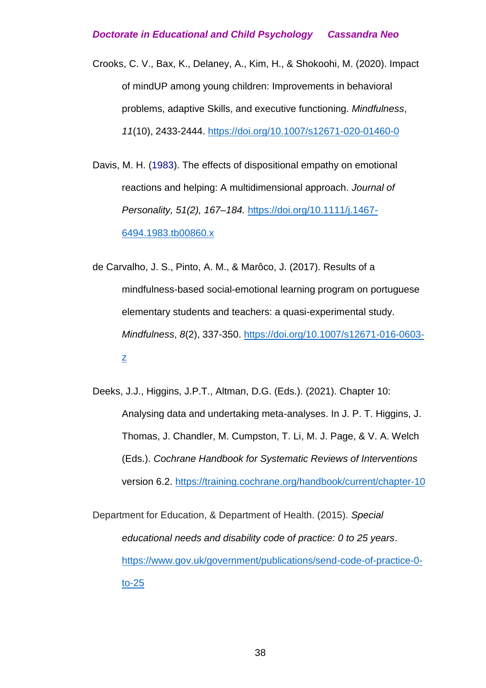- Crooks, C. V., Bax, K., Delaney, A., Kim, H., & Shokoohi, M. (2020). Impact of mindUP among young children: Improvements in behavioral problems, adaptive Skills, and executive functioning. *Mindfulness*, *11*(10), 2433-2444.<https://doi.org/10.1007/s12671-020-01460-0>
- Davis, M. H. (1983). The effects of dispositional empathy on emotional reactions and helping: A multidimensional approach. *Journal of Personality, 51(2), 167–184.* [https://doi.org/10.1111/j.1467-](https://doi.org/10.1111/j.1467-6494.1983.tb00860.x) [6494.1983.tb00860.x](https://doi.org/10.1111/j.1467-6494.1983.tb00860.x)
- de Carvalho, J. S., Pinto, A. M., & Marôco, J. (2017). Results of a mindfulness-based social-emotional learning program on portuguese elementary students and teachers: a quasi-experimental study. *Mindfulness*, *8*(2), 337-350. [https://doi.org/10.1007/s12671-016-0603](https://doi.org/10.1007/s12671-016-0603-z) [z](https://doi.org/10.1007/s12671-016-0603-z)
- Deeks, J.J., Higgins, J.P.T., Altman, D.G. (Eds.). (2021). Chapter 10: Analysing data and undertaking meta-analyses. In J. P. T. Higgins, J. Thomas, J. Chandler, M. Cumpston, T. Li, M. J. Page, & V. A. Welch (Eds.). *Cochrane Handbook for Systematic Reviews of Interventions*  version 6.2.<https://training.cochrane.org/handbook/current/chapter-10>

Department for Education, & Department of Health. (2015). *Special educational needs and disability code of practice: 0 to 25 years*. [https://www.gov.uk/government/publications/send-code-of-practice-0](https://www.gov.uk/government/publications/send-code-of-practice-0-to-25) [to-25](https://www.gov.uk/government/publications/send-code-of-practice-0-to-25)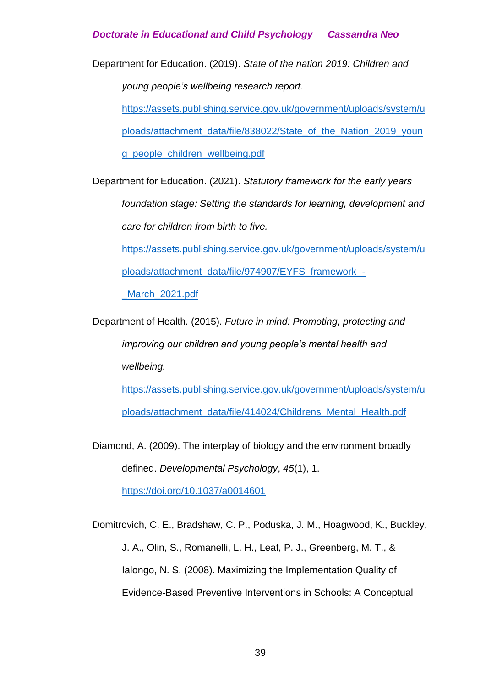Department for Education. (2019). *State of the nation 2019: Children and young people's wellbeing research report.*

[https://assets.publishing.service.gov.uk/government/uploads/system/u](https://assets.publishing.service.gov.uk/government/uploads/system/uploads/attachment_data/file/838022/State_of_the_Nation_2019_young_people_children_wellbeing.pdf)

[ploads/attachment\\_data/file/838022/State\\_of\\_the\\_Nation\\_2019\\_youn](https://assets.publishing.service.gov.uk/government/uploads/system/uploads/attachment_data/file/838022/State_of_the_Nation_2019_young_people_children_wellbeing.pdf)

[g\\_people\\_children\\_wellbeing.pdf](https://assets.publishing.service.gov.uk/government/uploads/system/uploads/attachment_data/file/838022/State_of_the_Nation_2019_young_people_children_wellbeing.pdf)

Department for Education. (2021). *Statutory framework for the early years foundation stage: Setting the standards for learning, development and care for children from birth to five.*

[https://assets.publishing.service.gov.uk/government/uploads/system/u](https://assets.publishing.service.gov.uk/government/uploads/system/uploads/attachment_data/file/974907/EYFS_framework_-_March_2021.pdf)

[ploads/attachment\\_data/file/974907/EYFS\\_framework\\_-](https://assets.publishing.service.gov.uk/government/uploads/system/uploads/attachment_data/file/974907/EYFS_framework_-_March_2021.pdf)

March 2021.pdf

Department of Health. (2015). *Future in mind: Promoting, protecting and improving our children and young people's mental health and wellbeing.*

[https://assets.publishing.service.gov.uk/government/uploads/system/u](https://assets.publishing.service.gov.uk/government/uploads/system/uploads/attachment_data/file/414024/Childrens_Mental_Health.pdf) [ploads/attachment\\_data/file/414024/Childrens\\_Mental\\_Health.pdf](https://assets.publishing.service.gov.uk/government/uploads/system/uploads/attachment_data/file/414024/Childrens_Mental_Health.pdf)

Diamond, A. (2009). The interplay of biology and the environment broadly defined. *Developmental Psychology*, *45*(1), 1.

[https://doi.org/10.1037/a0014601](https://doi.apa.org/doi/10.1037/a0014601)

Domitrovich, C. E., Bradshaw, C. P., Poduska, J. M., Hoagwood, K., Buckley, J. A., Olin, S., Romanelli, L. H., Leaf, P. J., Greenberg, M. T., & Ialongo, N. S. (2008). Maximizing the Implementation Quality of Evidence-Based Preventive Interventions in Schools: A Conceptual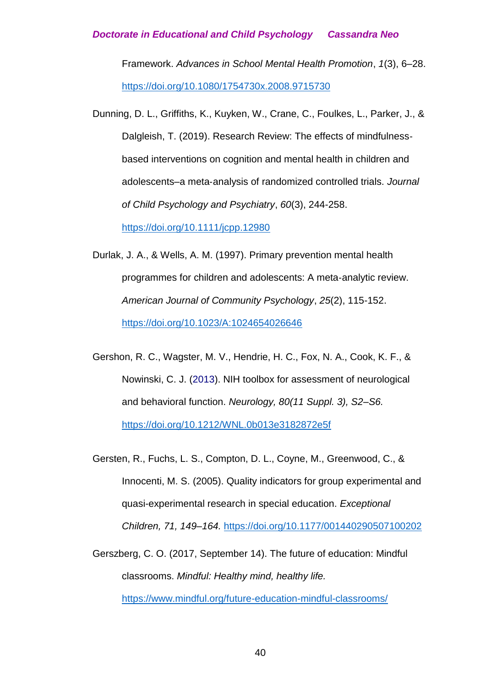Framework. *Advances in School Mental Health Promotion*, *1*(3), 6–28. <https://doi.org/10.1080/1754730x.2008.9715730>

- Dunning, D. L., Griffiths, K., Kuyken, W., Crane, C., Foulkes, L., Parker, J., & Dalgleish, T. (2019). Research Review: The effects of mindfulnessbased interventions on cognition and mental health in children and adolescents–a meta‐analysis of randomized controlled trials. *Journal of Child Psychology and Psychiatry*, *60*(3), 244-258. <https://doi.org/10.1111/jcpp.12980>
- Durlak, J. A., & Wells, A. M. (1997). Primary prevention mental health programmes for children and adolescents: A meta‐analytic review. *American Journal of Community Psychology*, *25*(2), 115-152. <https://doi.org/10.1023/A:1024654026646>
- Gershon, R. C., Wagster, M. V., Hendrie, H. C., Fox, N. A., Cook, K. F., & Nowinski, C. J. (2013). NIH toolbox for assessment of neurological and behavioral function. *Neurology, 80(11 Suppl. 3), S2–S6.*  <https://doi.org/10.1212/WNL.0b013e3182872e5f>
- Gersten, R., Fuchs, L. S., Compton, D. L., Coyne, M., Greenwood, C., & Innocenti, M. S. (2005). Quality indicators for group experimental and quasi-experimental research in special education. *Exceptional Children, 71, 149–164.* <https://doi.org/10.1177/001440290507100202>
- Gerszberg, C. O. (2017, September 14). The future of education: Mindful classrooms. *Mindful: Healthy mind, healthy life.*

<https://www.mindful.org/future-education-mindful-classrooms/>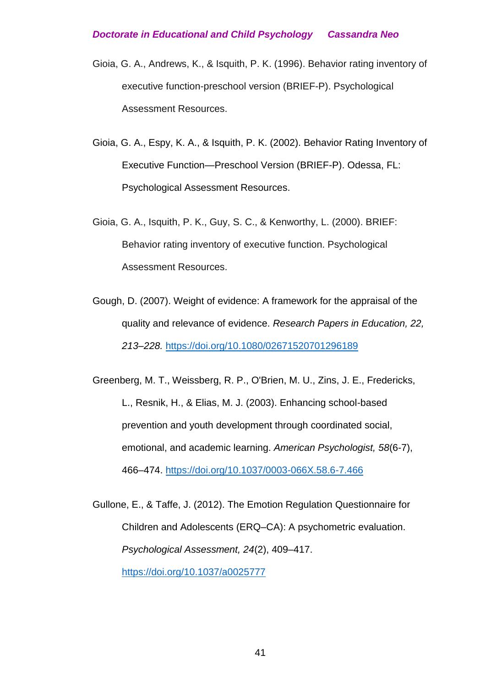- Gioia, G. A., Andrews, K., & Isquith, P. K. (1996). Behavior rating inventory of executive function-preschool version (BRIEF-P). Psychological Assessment Resources.
- Gioia, G. A., Espy, K. A., & Isquith, P. K. (2002). Behavior Rating Inventory of Executive Function—Preschool Version (BRIEF-P). Odessa, FL: Psychological Assessment Resources.
- Gioia, G. A., Isquith, P. K., Guy, S. C., & Kenworthy, L. (2000). BRIEF: Behavior rating inventory of executive function. Psychological Assessment Resources.
- Gough, D. (2007). Weight of evidence: A framework for the appraisal of the quality and relevance of evidence. *Research Papers in Education, 22, 213–228.* <https://doi.org/10.1080/02671520701296189>
- Greenberg, M. T., Weissberg, R. P., O'Brien, M. U., Zins, J. E., Fredericks, L., Resnik, H., & Elias, M. J. (2003). Enhancing school-based prevention and youth development through coordinated social, emotional, and academic learning. *American Psychologist, 58*(6-7), 466–474. [https://doi.org/10.1037/0003-066X.58.6-7.466](https://doi.apa.org/doi/10.1037/0003-066X.58.6-7.466)
- Gullone, E., & Taffe, J. (2012). The Emotion Regulation Questionnaire for Children and Adolescents (ERQ–CA): A psychometric evaluation. *Psychological Assessment, 24*(2), 409–417. [https://doi.org/10.1037/a0025777](https://psycnet.apa.org/doi/10.1037/a0025777)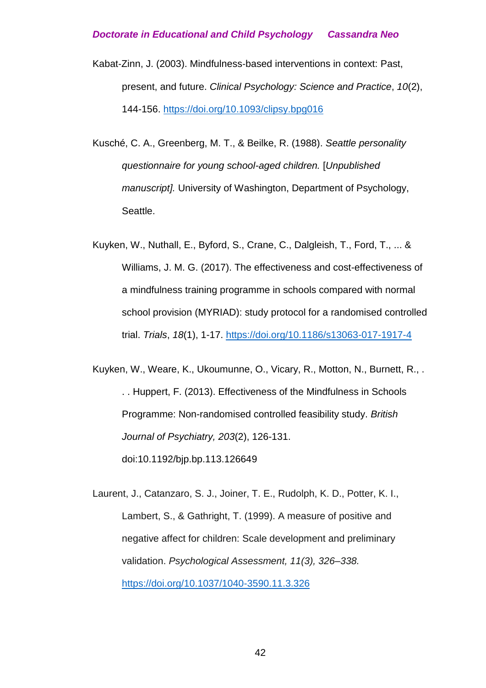- Kabat‐Zinn, J. (2003). Mindfulness‐based interventions in context: Past, present, and future. *Clinical Psychology: Science and Practice*, *10*(2), 144-156. [https://doi.org/10.1093/clipsy.bpg016](https://psycnet.apa.org/doi/10.1093/clipsy.bpg016)
- Kusché, C. A., Greenberg, M. T., & Beilke, R. (1988). *Seattle personality questionnaire for young school-aged children.* [*Unpublished manuscript].* University of Washington, Department of Psychology, Seattle.
- Kuyken, W., Nuthall, E., Byford, S., Crane, C., Dalgleish, T., Ford, T., ... & Williams, J. M. G. (2017). The effectiveness and cost-effectiveness of a mindfulness training programme in schools compared with normal school provision (MYRIAD): study protocol for a randomised controlled trial. *Trials*, *18*(1), 1-17. <https://doi.org/10.1186/s13063-017-1917-4>

Kuyken, W., Weare, K., Ukoumunne, O., Vicary, R., Motton, N., Burnett, R., . . . Huppert, F. (2013). Effectiveness of the Mindfulness in Schools Programme: Non-randomised controlled feasibility study. *British Journal of Psychiatry, 203*(2), 126-131. doi:10.1192/bjp.bp.113.126649

Laurent, J., Catanzaro, S. J., Joiner, T. E., Rudolph, K. D., Potter, K. I., Lambert, S., & Gathright, T. (1999). A measure of positive and negative affect for children: Scale development and preliminary validation. *Psychological Assessment, 11(3), 326–338.* <https://doi.org/10.1037/1040-3590.11.3.326>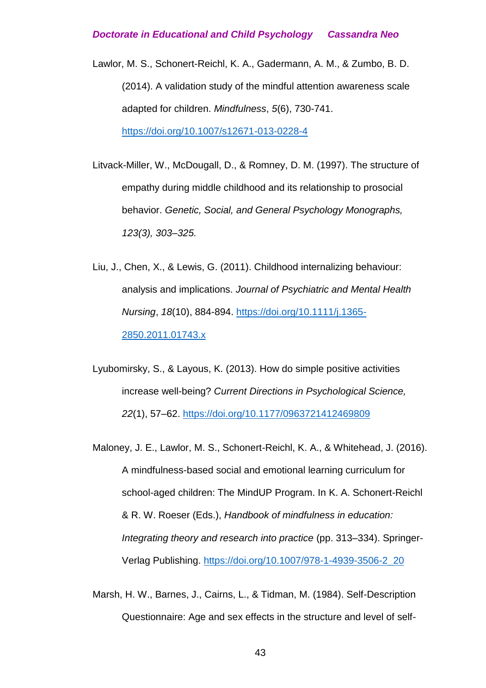- Lawlor, M. S., Schonert-Reichl, K. A., Gadermann, A. M., & Zumbo, B. D. (2014). A validation study of the mindful attention awareness scale adapted for children. *Mindfulness*, *5*(6), 730-741. <https://doi.org/10.1007/s12671-013-0228-4>
- Litvack-Miller, W., McDougall, D., & Romney, D. M. (1997). The structure of empathy during middle childhood and its relationship to prosocial behavior. *Genetic, Social, and General Psychology Monographs, 123(3), 303–325.*
- Liu, J., Chen, X., & Lewis, G. (2011). Childhood internalizing behaviour: analysis and implications. *Journal of Psychiatric and Mental Health Nursing*, *18*(10), 884-894. [https://doi.org/10.1111/j.1365-](https://doi.org/10.1111/j.1365-2850.2011.01743.x) [2850.2011.01743.x](https://doi.org/10.1111/j.1365-2850.2011.01743.x)
- Lyubomirsky, S., & Layous, K. (2013). How do simple positive activities increase well-being? *Current Directions in Psychological Science, 22*(1), 57–62. [https://doi.org/10.1177/0963721412469809](https://psycnet.apa.org/doi/10.1177/0963721412469809)
- Maloney, J. E., Lawlor, M. S., Schonert-Reichl, K. A., & Whitehead, J. (2016). A mindfulness-based social and emotional learning curriculum for school-aged children: The MindUP Program. In K. A. Schonert-Reichl & R. W. Roeser (Eds.), *Handbook of mindfulness in education: Integrating theory and research into practice* (pp. 313–334). Springer-Verlag Publishing. [https://doi.org/10.1007/978-1-4939-3506-2\\_20](https://psycnet.apa.org/doi/10.1007/978-1-4939-3506-2_20)
- Marsh, H. W., Barnes, J., Cairns, L., & Tidman, M. (1984). Self-Description Questionnaire: Age and sex effects in the structure and level of self-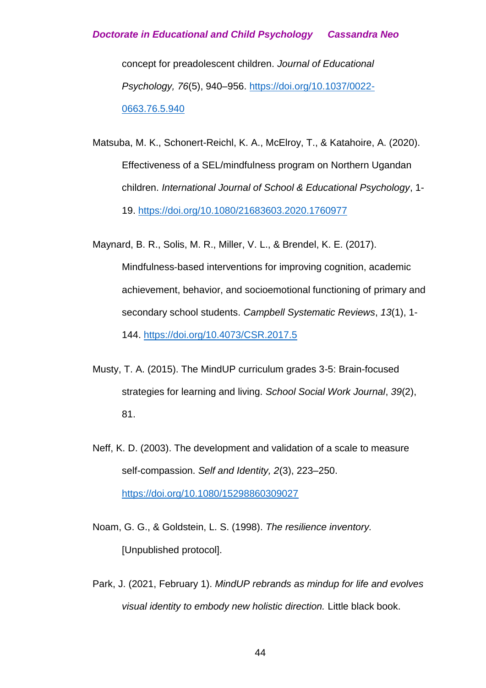concept for preadolescent children. *Journal of Educational Psychology, 76*(5), 940–956. [https://doi.org/10.1037/0022-](https://psycnet.apa.org/doi/10.1037/0022-0663.76.5.940) [0663.76.5.940](https://psycnet.apa.org/doi/10.1037/0022-0663.76.5.940)

Matsuba, M. K., Schonert-Reichl, K. A., McElroy, T., & Katahoire, A. (2020). Effectiveness of a SEL/mindfulness program on Northern Ugandan children. *International Journal of School & Educational Psychology*, 1- 19. <https://doi.org/10.1080/21683603.2020.1760977>

Maynard, B. R., Solis, M. R., Miller, V. L., & Brendel, K. E. (2017). Mindfulness‐based interventions for improving cognition, academic achievement, behavior, and socioemotional functioning of primary and secondary school students. *Campbell Systematic Reviews*, *13*(1), 1- 144. <https://doi.org/10.4073/CSR.2017.5>

- Musty, T. A. (2015). The MindUP curriculum grades 3-5: Brain-focused strategies for learning and living. *School Social Work Journal*, *39*(2), 81.
- Neff, K. D. (2003). The development and validation of a scale to measure self-compassion. *Self and Identity, 2*(3), 223–250. [https://doi.org/10.1080/15298860309027](https://psycnet.apa.org/doi/10.1080/15298860309027)
- Noam, G. G., & Goldstein, L. S. (1998). *The resilience inventory.* [Unpublished protocol].
- Park, J. (2021, February 1). *MindUP rebrands as mindup for life and evolves visual identity to embody new holistic direction.* Little black book.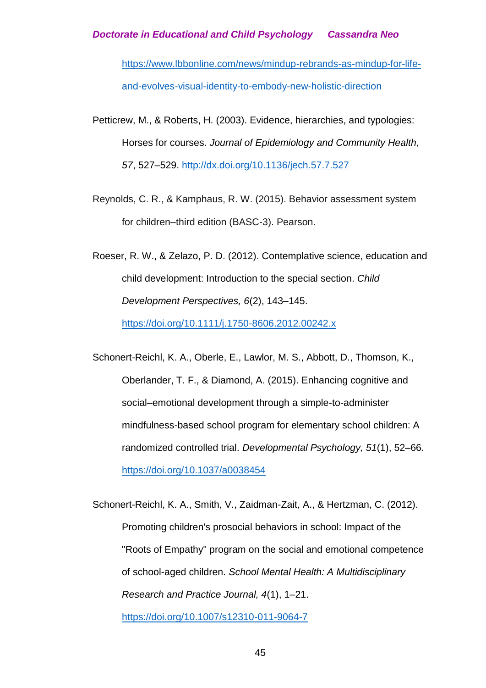[https://www.lbbonline.com/news/mindup-rebrands-as-mindup-for-life](https://www.lbbonline.com/news/mindup-rebrands-as-mindup-for-life-and-evolves-visual-identity-to-embody-new-holistic-direction)[and-evolves-visual-identity-to-embody-new-holistic-direction](https://www.lbbonline.com/news/mindup-rebrands-as-mindup-for-life-and-evolves-visual-identity-to-embody-new-holistic-direction)

- Petticrew, M., & Roberts, H. (2003). Evidence, hierarchies, and typologies: Horses for courses. *Journal of Epidemiology and Community Health*, *57*, 527–529. <http://dx.doi.org/10.1136/jech.57.7.527>
- Reynolds, C. R., & Kamphaus, R. W. (2015). Behavior assessment system for children–third edition (BASC-3). Pearson.
- Roeser, R. W., & Zelazo, P. D. (2012). Contemplative science, education and child development: Introduction to the special section. *Child Development Perspectives, 6*(2), 143–145. [https://doi.org/10.1111/j.1750-8606.2012.00242.x](https://psycnet.apa.org/doi/10.1111/j.1750-8606.2012.00242.x)
- Schonert-Reichl, K. A., Oberle, E., Lawlor, M. S., Abbott, D., Thomson, K., Oberlander, T. F., & Diamond, A. (2015). Enhancing cognitive and social–emotional development through a simple-to-administer mindfulness-based school program for elementary school children: A randomized controlled trial. *Developmental Psychology, 51*(1), 52–66. [https://doi.org/10.1037/a0038454](https://psycnet.apa.org/doi/10.1037/a0038454)

Schonert-Reichl, K. A., Smith, V., Zaidman-Zait, A., & Hertzman, C. (2012). Promoting children's prosocial behaviors in school: Impact of the "Roots of Empathy" program on the social and emotional competence of school-aged children. *School Mental Health: A Multidisciplinary Research and Practice Journal, 4*(1), 1–21. [https://doi.org/10.1007/s12310-011-9064-7](https://psycnet.apa.org/doi/10.1007/s12310-011-9064-7)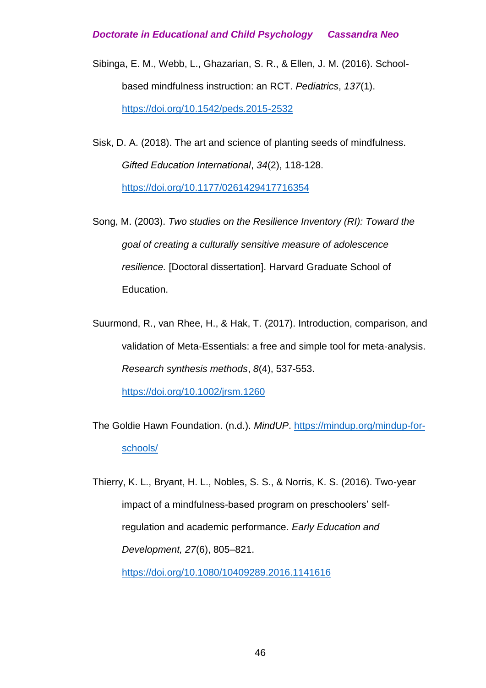- Sibinga, E. M., Webb, L., Ghazarian, S. R., & Ellen, J. M. (2016). Schoolbased mindfulness instruction: an RCT. *Pediatrics*, *137*(1). <https://doi.org/10.1542/peds.2015-2532>
- Sisk, D. A. (2018). The art and science of planting seeds of mindfulness. *Gifted Education International*, *34*(2), 118-128. [https://doi.org/10.1177/0261429417716354](https://doi.org/10.1177%2F0261429417716354)
- Song, M. (2003). *Two studies on the Resilience Inventory (RI): Toward the goal of creating a culturally sensitive measure of adolescence resilience.* [Doctoral dissertation]. Harvard Graduate School of Education.
- Suurmond, R., van Rhee, H., & Hak, T. (2017). Introduction, comparison, and validation of Meta‐Essentials: a free and simple tool for meta‐analysis. *Research synthesis methods*, *8*(4), 537-553.

<https://doi.org/10.1002/jrsm.1260>

The Goldie Hawn Foundation. (n.d.). *MindUP*. [https://mindup.org/mindup-for](https://mindup.org/mindup-for-schools/)[schools/](https://mindup.org/mindup-for-schools/)

Thierry, K. L., Bryant, H. L., Nobles, S. S., & Norris, K. S. (2016). Two-year impact of a mindfulness-based program on preschoolers' selfregulation and academic performance. *Early Education and Development, 27*(6), 805–821.

[https://doi.org/10.1080/10409289.2016.1141616](https://psycnet.apa.org/doi/10.1080/10409289.2016.1141616)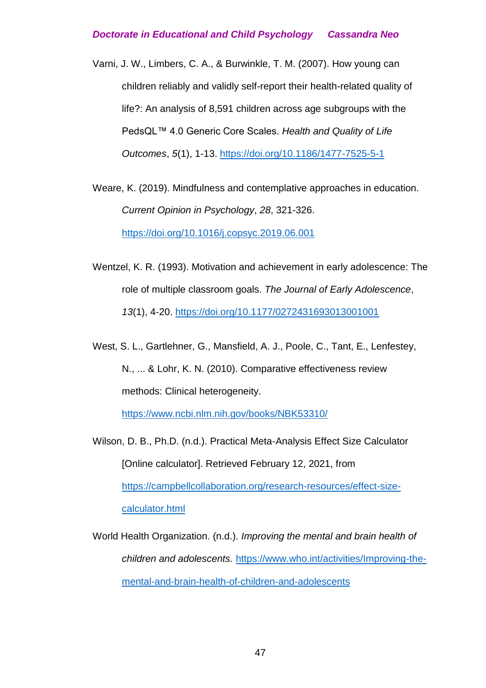Varni, J. W., Limbers, C. A., & Burwinkle, T. M. (2007). How young can children reliably and validly self-report their health-related quality of life?: An analysis of 8,591 children across age subgroups with the PedsQL™ 4.0 Generic Core Scales. *Health and Quality of Life Outcomes*, *5*(1), 1-13. <https://doi.org/10.1186/1477-7525-5-1>

Weare, K. (2019). Mindfulness and contemplative approaches in education. *Current Opinion in Psychology*, *28*, 321-326. <https://doi.org/10.1016/j.copsyc.2019.06.001>

- Wentzel, K. R. (1993). Motivation and achievement in early adolescence: The role of multiple classroom goals. *The Journal of Early Adolescence*, *13*(1), 4-20. [https://doi.org/10.1177/0272431693013001001](https://doi.org/10.1177%2F0272431693013001001)
- West, S. L., Gartlehner, G., Mansfield, A. J., Poole, C., Tant, E., Lenfestey, N., ... & Lohr, K. N. (2010). Comparative effectiveness review methods: Clinical heterogeneity.

<https://www.ncbi.nlm.nih.gov/books/NBK53310/>

Wilson, D. B., Ph.D. (n.d.). Practical Meta-Analysis Effect Size Calculator [Online calculator]. Retrieved February 12, 2021, from [https://campbellcollaboration.org/research-resources/effect-size](https://www.campbellcollaboration.org/research-resources/effect-size-calculator.html)[calculator.html](https://www.campbellcollaboration.org/research-resources/effect-size-calculator.html)

World Health Organization. (n.d.). *Improving the mental and brain health of children and adolescents.* [https://www.who.int/activities/Improving-the](https://www.who.int/activities/Improving-the-mental-and-brain-health-of-children-and-adolescents)[mental-and-brain-health-of-children-and-adolescents](https://www.who.int/activities/Improving-the-mental-and-brain-health-of-children-and-adolescents)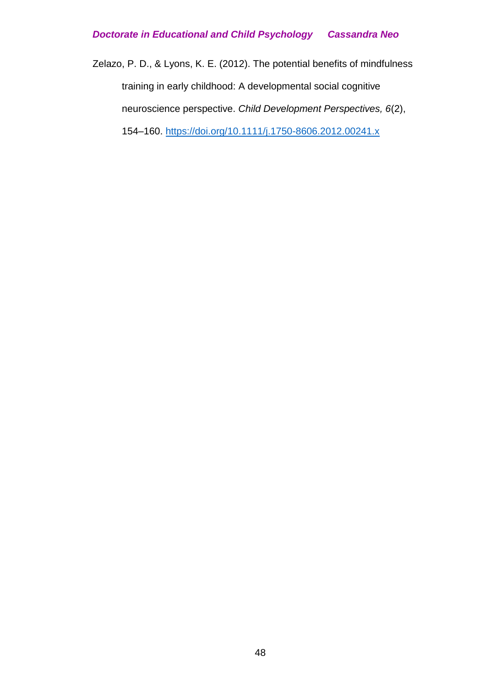Zelazo, P. D., & Lyons, K. E. (2012). The potential benefits of mindfulness training in early childhood: A developmental social cognitive neuroscience perspective. *Child Development Perspectives, 6*(2), 154–160. [https://doi.org/10.1111/j.1750-8606.2012.00241.x](https://psycnet.apa.org/doi/10.1111/j.1750-8606.2012.00241.x)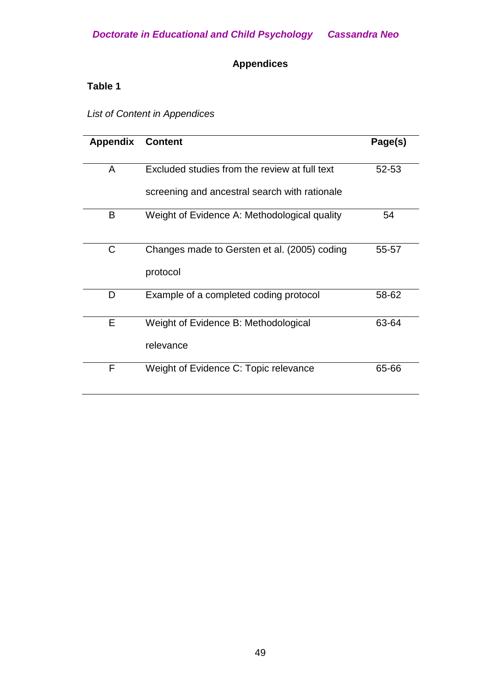# **Appendices**

### **Table 1**

*List of Content in Appendices*

| <b>Appendix</b> | <b>Content</b>                                           | Page(s) |
|-----------------|----------------------------------------------------------|---------|
| A               | Excluded studies from the review at full text            | 52-53   |
|                 | screening and ancestral search with rationale            |         |
| B               | Weight of Evidence A: Methodological quality             | 54      |
| C               | Changes made to Gersten et al. (2005) coding<br>protocol | 55-57   |
|                 |                                                          |         |
| D               | Example of a completed coding protocol                   | 58-62   |
| Е               | Weight of Evidence B: Methodological                     | 63-64   |
|                 | relevance                                                |         |
| F               | Weight of Evidence C: Topic relevance                    | 65-66   |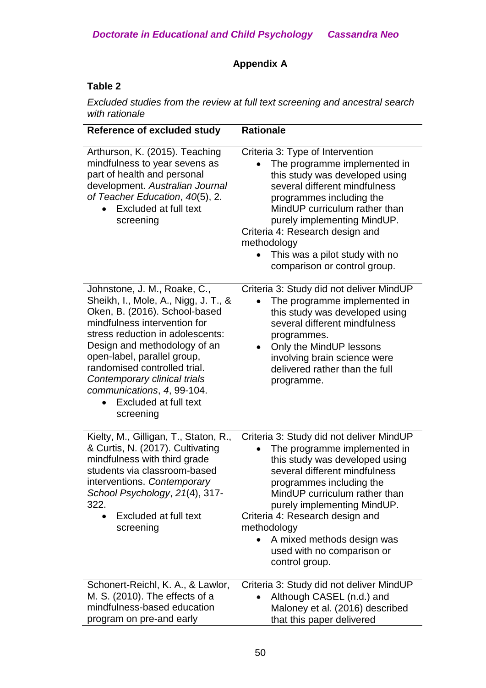# **Appendix A**

### **Table 2**

*Excluded studies from the review at full text screening and ancestral search with rationale*

| <b>Reference of excluded study</b>                                                                                                                                                                                                                                                                                                                                           | <b>Rationale</b>                                                                                                                                                                                                                                                                                                                                                        |
|------------------------------------------------------------------------------------------------------------------------------------------------------------------------------------------------------------------------------------------------------------------------------------------------------------------------------------------------------------------------------|-------------------------------------------------------------------------------------------------------------------------------------------------------------------------------------------------------------------------------------------------------------------------------------------------------------------------------------------------------------------------|
| Arthurson, K. (2015). Teaching<br>mindfulness to year sevens as<br>part of health and personal<br>development. Australian Journal<br>of Teacher Education, 40(5), 2.<br>Excluded at full text<br>screening                                                                                                                                                                   | Criteria 3: Type of Intervention<br>The programme implemented in<br>this study was developed using<br>several different mindfulness<br>programmes including the<br>MindUP curriculum rather than<br>purely implementing MindUP.<br>Criteria 4: Research design and<br>methodology<br>This was a pilot study with no<br>comparison or control group.                     |
| Johnstone, J. M., Roake, C.,<br>Sheikh, I., Mole, A., Nigg, J. T., &<br>Oken, B. (2016). School-based<br>mindfulness intervention for<br>stress reduction in adolescents:<br>Design and methodology of an<br>open-label, parallel group,<br>randomised controlled trial.<br>Contemporary clinical trials<br>communications, 4, 99-104.<br>Excluded at full text<br>screening | Criteria 3: Study did not deliver MindUP<br>The programme implemented in<br>this study was developed using<br>several different mindfulness<br>programmes.<br>Only the MindUP lessons<br>$\bullet$<br>involving brain science were<br>delivered rather than the full<br>programme.                                                                                      |
| Kielty, M., Gilligan, T., Staton, R.,<br>& Curtis, N. (2017). Cultivating<br>mindfulness with third grade<br>students via classroom-based<br>interventions. Contemporary<br>School Psychology, 21(4), 317-<br>322.<br>Excluded at full text<br>$\bullet$<br>screening                                                                                                        | Criteria 3: Study did not deliver MindUP<br>The programme implemented in<br>this study was developed using<br>several different mindfulness<br>programmes including the<br>MindUP curriculum rather than<br>purely implementing MindUP.<br>Criteria 4: Research design and<br>methodology<br>A mixed methods design was<br>used with no comparison or<br>control group. |
| Schonert-Reichl, K. A., & Lawlor,<br>M. S. (2010). The effects of a<br>mindfulness-based education<br>program on pre-and early                                                                                                                                                                                                                                               | Criteria 3: Study did not deliver MindUP<br>Although CASEL (n.d.) and<br>Maloney et al. (2016) described<br>that this paper delivered                                                                                                                                                                                                                                   |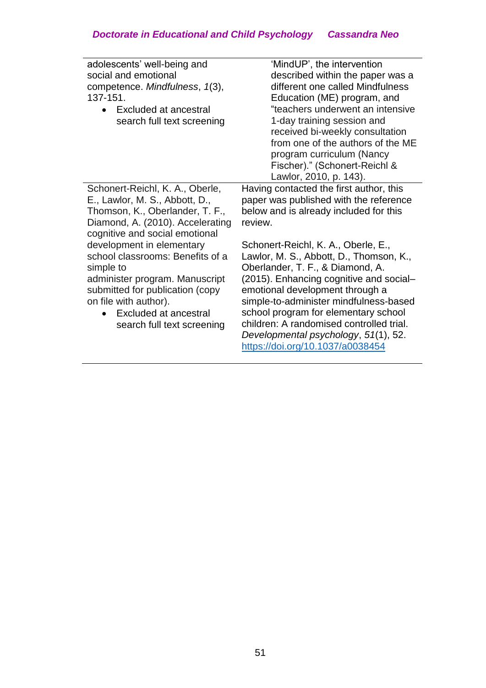| adolescents' well-being and<br>social and emotional<br>competence. Mindfulness, 1(3),<br>137-151.<br>Excluded at ancestral<br>$\bullet$<br>search full text screening                                                                        | 'MindUP', the intervention<br>described within the paper was a<br>different one called Mindfulness<br>Education (ME) program, and<br>"teachers underwent an intensive<br>1-day training session and<br>received bi-weekly consultation<br>from one of the authors of the ME<br>program curriculum (Nancy<br>Fischer)." (Schonert-Reichl &<br>Lawlor, 2010, p. 143).                                        |
|----------------------------------------------------------------------------------------------------------------------------------------------------------------------------------------------------------------------------------------------|------------------------------------------------------------------------------------------------------------------------------------------------------------------------------------------------------------------------------------------------------------------------------------------------------------------------------------------------------------------------------------------------------------|
| Schonert-Reichl, K. A., Oberle,<br>E., Lawlor, M. S., Abbott, D.,<br>Thomson, K., Oberlander, T. F.,<br>Diamond, A. (2010). Accelerating<br>cognitive and social emotional                                                                   | Having contacted the first author, this<br>paper was published with the reference<br>below and is already included for this<br>review.                                                                                                                                                                                                                                                                     |
| development in elementary<br>school classrooms: Benefits of a<br>simple to<br>administer program. Manuscript<br>submitted for publication (copy<br>on file with author).<br>Excluded at ancestral<br>$\bullet$<br>search full text screening | Schonert-Reichl, K. A., Oberle, E.,<br>Lawlor, M. S., Abbott, D., Thomson, K.,<br>Oberlander, T. F., & Diamond, A.<br>(2015). Enhancing cognitive and social-<br>emotional development through a<br>simple-to-administer mindfulness-based<br>school program for elementary school<br>children: A randomised controlled trial.<br>Developmental psychology, 51(1), 52.<br>https://doi.org/10.1037/a0038454 |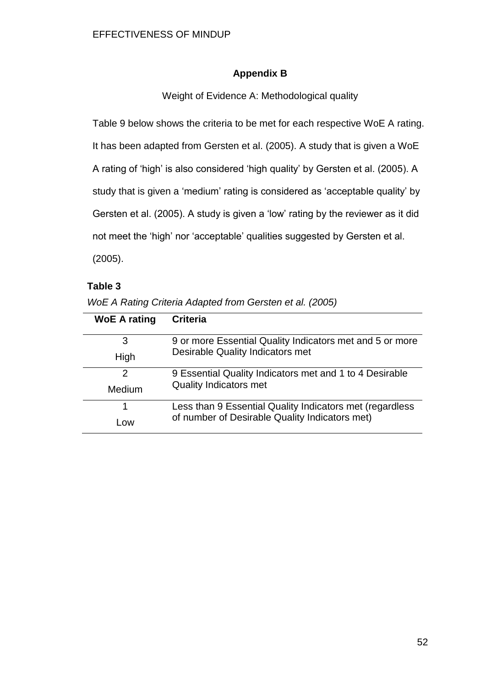### **Appendix B**

Weight of Evidence A: Methodological quality

Table 9 below shows the criteria to be met for each respective WoE A rating.

It has been adapted from Gersten et al. (2005). A study that is given a WoE

A rating of 'high' is also considered 'high quality' by Gersten et al. (2005). A

study that is given a 'medium' rating is considered as 'acceptable quality' by

Gersten et al. (2005). A study is given a 'low' rating by the reviewer as it did

not meet the 'high' nor 'acceptable' qualities suggested by Gersten et al.

(2005).

### **Table 3**

| WoE A Rating Criteria Adapted from Gersten et al. (2005) |  |
|----------------------------------------------------------|--|
|----------------------------------------------------------|--|

| <b>WoE A rating</b> | <b>Criteria</b>                                          |
|---------------------|----------------------------------------------------------|
| 3                   | 9 or more Essential Quality Indicators met and 5 or more |
| High                | Desirable Quality Indicators met                         |
| 2                   | 9 Essential Quality Indicators met and 1 to 4 Desirable  |
| Medium              | <b>Quality Indicators met</b>                            |
|                     | Less than 9 Essential Quality Indicators met (regardless |
| L <sub>OW</sub>     | of number of Desirable Quality Indicators met)           |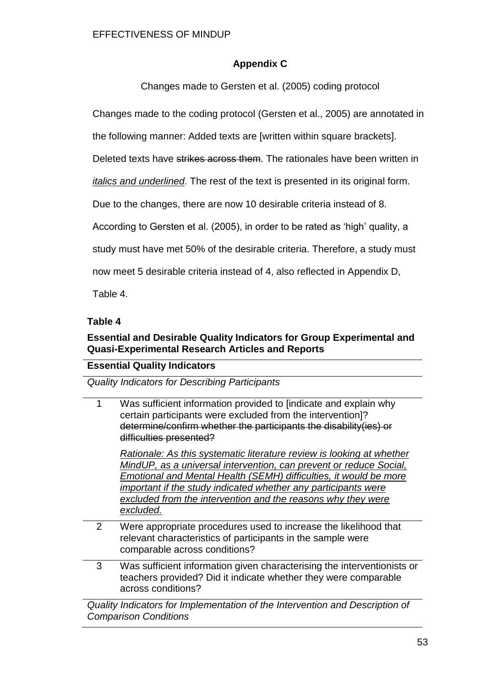### **Appendix C**

Changes made to Gersten et al. (2005) coding protocol

Changes made to the coding protocol (Gersten et al., 2005) are annotated in

the following manner: Added texts are [written within square brackets].

Deleted texts have strikes across them. The rationales have been written in

*italics and underlined*. The rest of the text is presented in its original form.

Due to the changes, there are now 10 desirable criteria instead of 8.

According to Gersten et al. (2005), in order to be rated as 'high' quality, a

study must have met 50% of the desirable criteria. Therefore, a study must

now meet 5 desirable criteria instead of 4, also reflected in Appendix D,

Table 4.

### **Table 4**

### **Essential and Desirable Quality Indicators for Group Experimental and Quasi-Experimental Research Articles and Reports**

### **Essential Quality Indicators**

*Quality Indicators for Describing Participants*

1 Was sufficient information provided to [indicate and explain why certain participants were excluded from the intervention]? determine/confirm whether the participants the disability(ies) or difficulties presented?

*Rationale: As this systematic literature review is looking at whether MindUP, as a universal intervention, can prevent or reduce Social, Emotional and Mental Health (SEMH) difficulties, it would be more important if the study indicated whether any participants were excluded from the intervention and the reasons why they were excluded.*

- 2 Were appropriate procedures used to increase the likelihood that relevant characteristics of participants in the sample were comparable across conditions?
- 3 Was sufficient information given characterising the interventionists or teachers provided? Did it indicate whether they were comparable across conditions?

*Quality Indicators for Implementation of the Intervention and Description of Comparison Conditions*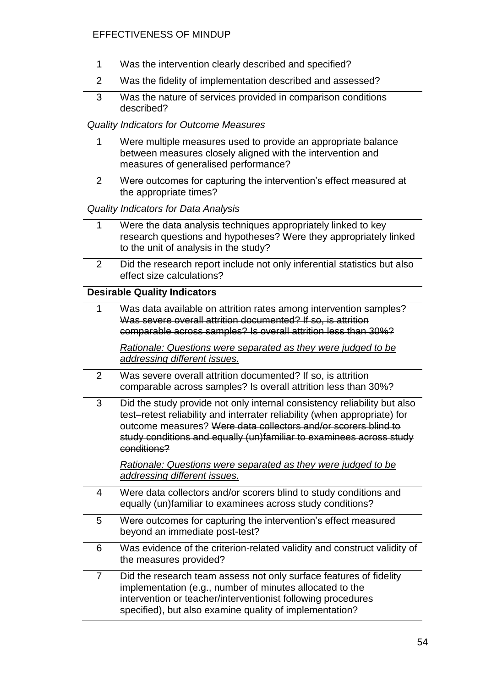### EFFECTIVENESS OF MINDUP

| $\mathbf{1}$   | Was the intervention clearly described and specified?                                                                                                                                                                                                                                                         |
|----------------|---------------------------------------------------------------------------------------------------------------------------------------------------------------------------------------------------------------------------------------------------------------------------------------------------------------|
| $\overline{2}$ | Was the fidelity of implementation described and assessed?                                                                                                                                                                                                                                                    |
| 3              | Was the nature of services provided in comparison conditions<br>described?                                                                                                                                                                                                                                    |
|                | <b>Quality Indicators for Outcome Measures</b>                                                                                                                                                                                                                                                                |
| 1              | Were multiple measures used to provide an appropriate balance<br>between measures closely aligned with the intervention and<br>measures of generalised performance?                                                                                                                                           |
| 2              | Were outcomes for capturing the intervention's effect measured at<br>the appropriate times?                                                                                                                                                                                                                   |
|                | <b>Quality Indicators for Data Analysis</b>                                                                                                                                                                                                                                                                   |
| 1              | Were the data analysis techniques appropriately linked to key<br>research questions and hypotheses? Were they appropriately linked<br>to the unit of analysis in the study?                                                                                                                                   |
| 2              | Did the research report include not only inferential statistics but also<br>effect size calculations?                                                                                                                                                                                                         |
|                | <b>Desirable Quality Indicators</b>                                                                                                                                                                                                                                                                           |
| 1              | Was data available on attrition rates among intervention samples?<br>Was severe overall attrition documented? If so, is attrition<br>comparable across samples? Is overall attrition less than 30%?                                                                                                           |
|                | Rationale: Questions were separated as they were judged to be<br>addressing different issues.                                                                                                                                                                                                                 |
| 2              | Was severe overall attrition documented? If so, is attrition<br>comparable across samples? Is overall attrition less than 30%?                                                                                                                                                                                |
| 3              | Did the study provide not only internal consistency reliability but also<br>test-retest reliability and interrater reliability (when appropriate) for<br>outcome measures? Were data collectors and/or scorers blind to<br>study conditions and equally (un)familiar to examinees across study<br>conditions? |
|                | Rationale: Questions were separated as they were judged to be<br>addressing different issues.                                                                                                                                                                                                                 |
| 4              | Were data collectors and/or scorers blind to study conditions and<br>equally (un)familiar to examinees across study conditions?                                                                                                                                                                               |
| 5              | Were outcomes for capturing the intervention's effect measured<br>beyond an immediate post-test?                                                                                                                                                                                                              |
| 6              | Was evidence of the criterion-related validity and construct validity of<br>the measures provided?                                                                                                                                                                                                            |
| $\overline{7}$ | Did the research team assess not only surface features of fidelity<br>implementation (e.g., number of minutes allocated to the<br>intervention or teacher/interventionist following procedures<br>specified), but also examine quality of implementation?                                                     |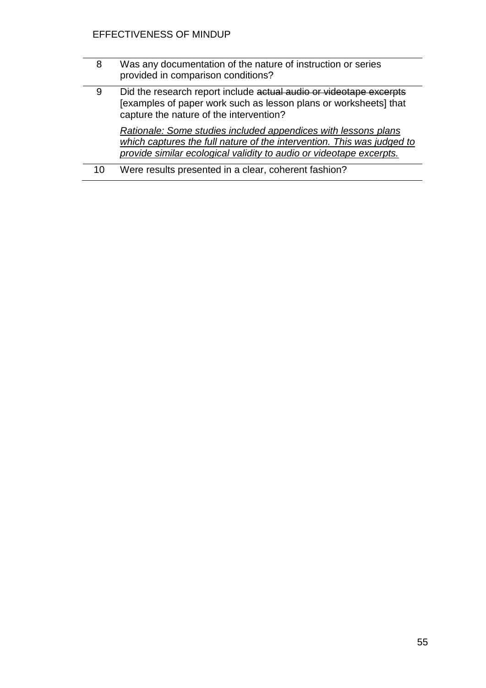| 8  | Was any documentation of the nature of instruction or series<br>provided in comparison conditions?                                                                                                              |
|----|-----------------------------------------------------------------------------------------------------------------------------------------------------------------------------------------------------------------|
| 9  | Did the research report include actual audio or videotape excerpts<br>[examples of paper work such as lesson plans or worksheets] that<br>capture the nature of the intervention?                               |
|    | Rationale: Some studies included appendices with lessons plans<br>which captures the full nature of the intervention. This was judged to<br>provide similar ecological validity to audio or videotape excerpts. |
| 10 | Were results presented in a clear, coherent fashion?                                                                                                                                                            |
|    |                                                                                                                                                                                                                 |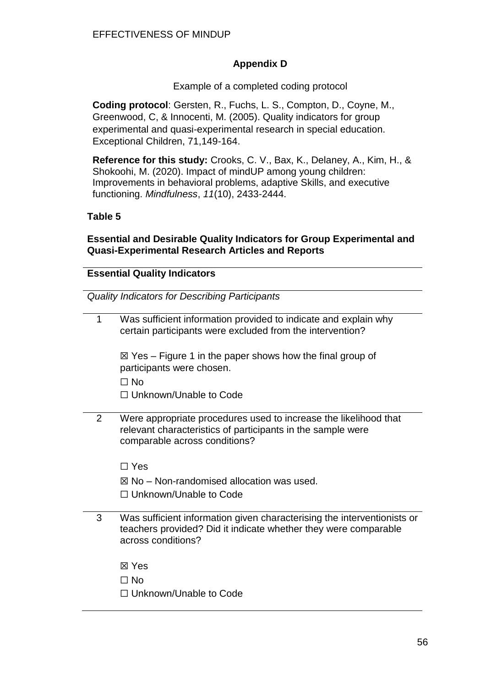### **Appendix D**

Example of a completed coding protocol

**Coding protocol**: Gersten, R., Fuchs, L. S., Compton, D., Coyne, M., Greenwood, C, & Innocenti, M. (2005). Quality indicators for group experimental and quasi-experimental research in special education. Exceptional Children, 71,149-164.

**Reference for this study:** Crooks, C. V., Bax, K., Delaney, A., Kim, H., & Shokoohi, M. (2020). Impact of mindUP among young children: Improvements in behavioral problems, adaptive Skills, and executive functioning. *Mindfulness*, *11*(10), 2433-2444.

#### **Table 5**

**Essential and Desirable Quality Indicators for Group Experimental and Quasi-Experimental Research Articles and Reports**

#### **Essential Quality Indicators**

*Quality Indicators for Describing Participants*

| 1 | Was sufficient information provided to indicate and explain why<br>certain participants were excluded from the intervention?                                     |
|---|------------------------------------------------------------------------------------------------------------------------------------------------------------------|
|   | $\boxtimes$ Yes – Figure 1 in the paper shows how the final group of<br>participants were chosen.                                                                |
|   | $\Box$ No                                                                                                                                                        |
|   | $\Box$ Unknown/Unable to Code                                                                                                                                    |
| 2 | Were appropriate procedures used to increase the likelihood that<br>relevant characteristics of participants in the sample were<br>comparable across conditions? |
|   | $\Box$ Yes                                                                                                                                                       |
|   | $\boxtimes$ No – Non-randomised allocation was used.                                                                                                             |
|   | $\Box$ Unknown/Unable to Code                                                                                                                                    |
| 3 | Was sufficient information given characterising the interventionists or<br>teachers provided? Did it indicate whether they were comparable<br>across conditions? |
|   | ⊠ Yes                                                                                                                                                            |
|   | $\Box$ No                                                                                                                                                        |
|   | □ Unknown/Unable to Code                                                                                                                                         |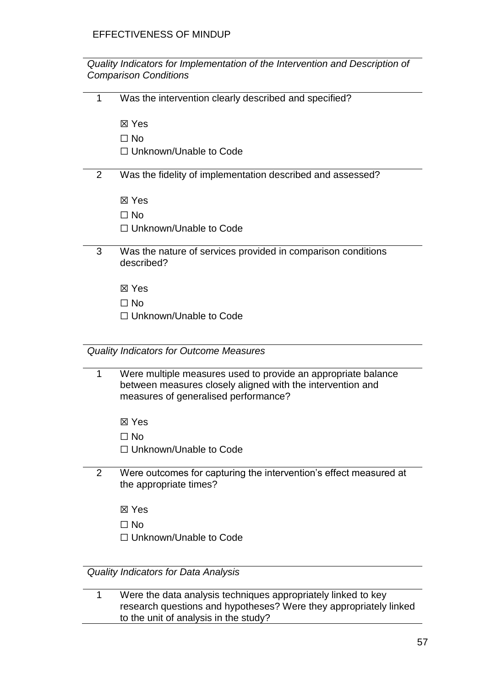*Quality Indicators for Implementation of the Intervention and Description of Comparison Conditions*

1 Was the intervention clearly described and specified?

☒ Yes

☐ No

☐ Unknown/Unable to Code

### 2 Was the fidelity of implementation described and assessed?

☒ Yes

☐ No

□ Unknown/Unable to Code

3 Was the nature of services provided in comparison conditions described?

☒ Yes

☐ No

□ Unknown/Unable to Code

*Quality Indicators for Outcome Measures*

- 1 Were multiple measures used to provide an appropriate balance between measures closely aligned with the intervention and measures of generalised performance?
	- ☒ Yes
	- ☐ No
	- ☐ Unknown/Unable to Code
- 2 Were outcomes for capturing the intervention's effect measured at the appropriate times?
	- ☒ Yes
	- ☐ No
	- ☐ Unknown/Unable to Code

*Quality Indicators for Data Analysis*

| Were the data analysis techniques appropriately linked to key     |
|-------------------------------------------------------------------|
| research questions and hypotheses? Were they appropriately linked |
| to the unit of analysis in the study?                             |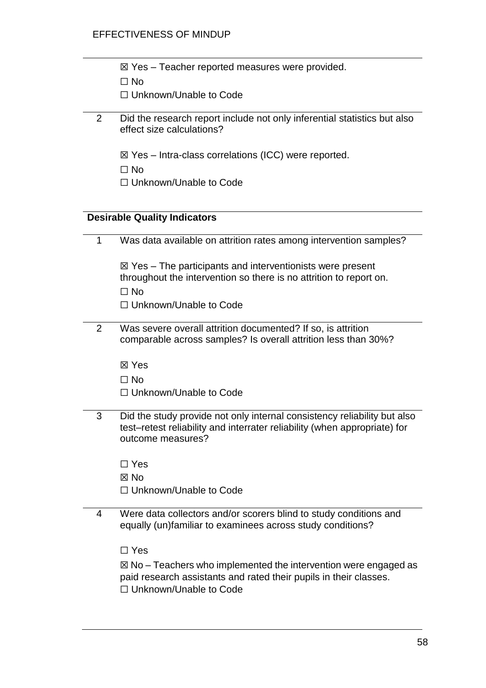|  |  | ⊠ Yes - Teacher reported measures were provided. |  |
|--|--|--------------------------------------------------|--|
|  |  |                                                  |  |

| ۰. |
|----|
|----|

☐ Unknown/Unable to Code

- 2 Did the research report include not only inferential statistics but also effect size calculations?
	- ☒ Yes Intra-class correlations (ICC) were reported.
	- ☐ No
	- ☐ Unknown/Unable to Code

### **Desirable Quality Indicators**

| $\mathbf{1}$   | Was data available on attrition rates among intervention samples?                                                                                                           |
|----------------|-----------------------------------------------------------------------------------------------------------------------------------------------------------------------------|
|                | $\boxtimes$ Yes – The participants and interventionists were present                                                                                                        |
|                | throughout the intervention so there is no attrition to report on.<br>$\square$ No                                                                                          |
|                | □ Unknown/Unable to Code                                                                                                                                                    |
|                |                                                                                                                                                                             |
| $\overline{2}$ | Was severe overall attrition documented? If so, is attrition<br>comparable across samples? Is overall attrition less than 30%?                                              |
|                | ⊠ Yes                                                                                                                                                                       |
|                | $\Box$ No                                                                                                                                                                   |
|                | $\Box$ Unknown/Unable to Code                                                                                                                                               |
| 3              | Did the study provide not only internal consistency reliability but also<br>test-retest reliability and interrater reliability (when appropriate) for<br>outcome measures?  |
|                | $\Box$ Yes                                                                                                                                                                  |
|                | $\boxtimes$ No                                                                                                                                                              |
|                | $\Box$ Unknown/Unable to Code                                                                                                                                               |
| 4              | Were data collectors and/or scorers blind to study conditions and<br>equally (un)familiar to examinees across study conditions?                                             |
|                | $\Box$ Yes                                                                                                                                                                  |
|                | $\boxtimes$ No – Teachers who implemented the intervention were engaged as<br>paid research assistants and rated their pupils in their classes.<br>□ Unknown/Unable to Code |
|                |                                                                                                                                                                             |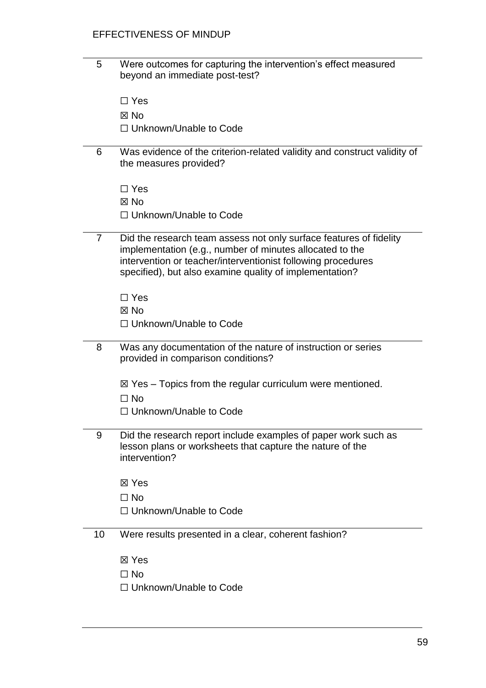### EFFECTIVENESS OF MINDUP

| 5              | Were outcomes for capturing the intervention's effect measured<br>beyond an immediate post-test?                                                                                                                                                          |  |  |
|----------------|-----------------------------------------------------------------------------------------------------------------------------------------------------------------------------------------------------------------------------------------------------------|--|--|
|                | $\Box$ Yes                                                                                                                                                                                                                                                |  |  |
|                | $\boxtimes$ No                                                                                                                                                                                                                                            |  |  |
|                | $\Box$ Unknown/Unable to Code                                                                                                                                                                                                                             |  |  |
|                |                                                                                                                                                                                                                                                           |  |  |
| 6              | Was evidence of the criterion-related validity and construct validity of<br>the measures provided?                                                                                                                                                        |  |  |
|                | $\Box$ Yes                                                                                                                                                                                                                                                |  |  |
|                | $\boxtimes$ No                                                                                                                                                                                                                                            |  |  |
|                | $\Box$ Unknown/Unable to Code                                                                                                                                                                                                                             |  |  |
| $\overline{7}$ | Did the research team assess not only surface features of fidelity<br>implementation (e.g., number of minutes allocated to the<br>intervention or teacher/interventionist following procedures<br>specified), but also examine quality of implementation? |  |  |
|                | $\Box$ Yes                                                                                                                                                                                                                                                |  |  |
|                | $\boxtimes$ No                                                                                                                                                                                                                                            |  |  |
|                | □ Unknown/Unable to Code                                                                                                                                                                                                                                  |  |  |
| 8              | Was any documentation of the nature of instruction or series<br>provided in comparison conditions?                                                                                                                                                        |  |  |
|                | $\boxtimes$ Yes – Topics from the regular curriculum were mentioned.                                                                                                                                                                                      |  |  |
|                | $\Box$ No                                                                                                                                                                                                                                                 |  |  |
|                | $\Box$ Unknown/Unable to Code                                                                                                                                                                                                                             |  |  |
| 9              | Did the research report include examples of paper work such as<br>lesson plans or worksheets that capture the nature of the<br>intervention?                                                                                                              |  |  |
|                | ⊠ Yes                                                                                                                                                                                                                                                     |  |  |
|                | $\Box$ No                                                                                                                                                                                                                                                 |  |  |
|                | $\Box$ Unknown/Unable to Code                                                                                                                                                                                                                             |  |  |
| 10             | Were results presented in a clear, coherent fashion?                                                                                                                                                                                                      |  |  |
|                | ⊠ Yes                                                                                                                                                                                                                                                     |  |  |
|                | $\Box$ No                                                                                                                                                                                                                                                 |  |  |
|                | $\Box$ Unknown/Unable to Code                                                                                                                                                                                                                             |  |  |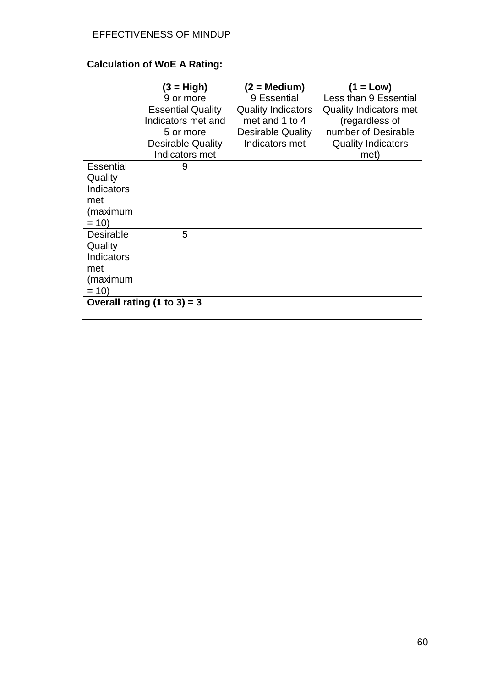# **Calculation of WoE A Rating:**

|                  | $(3 = High)$                  | $(2 = \text{Median})$     | $(1 = Low)$                   |
|------------------|-------------------------------|---------------------------|-------------------------------|
|                  | 9 or more                     | 9 Essential               | Less than 9 Essential         |
|                  | <b>Essential Quality</b>      | <b>Quality Indicators</b> | <b>Quality Indicators met</b> |
|                  | Indicators met and            | met and 1 to 4            | (regardless of                |
|                  | 5 or more                     | <b>Desirable Quality</b>  | number of Desirable           |
|                  | <b>Desirable Quality</b>      | Indicators met            | <b>Quality Indicators</b>     |
|                  | Indicators met                |                           | met)                          |
| <b>Essential</b> | 9                             |                           |                               |
| Quality          |                               |                           |                               |
| Indicators       |                               |                           |                               |
| met              |                               |                           |                               |
| (maximum         |                               |                           |                               |
| $= 10$           |                               |                           |                               |
| <b>Desirable</b> | 5                             |                           |                               |
| Quality          |                               |                           |                               |
| Indicators       |                               |                           |                               |
| met              |                               |                           |                               |
| (maximum         |                               |                           |                               |
| $= 10$           |                               |                           |                               |
|                  | Overall rating $(1 to 3) = 3$ |                           |                               |
|                  |                               |                           |                               |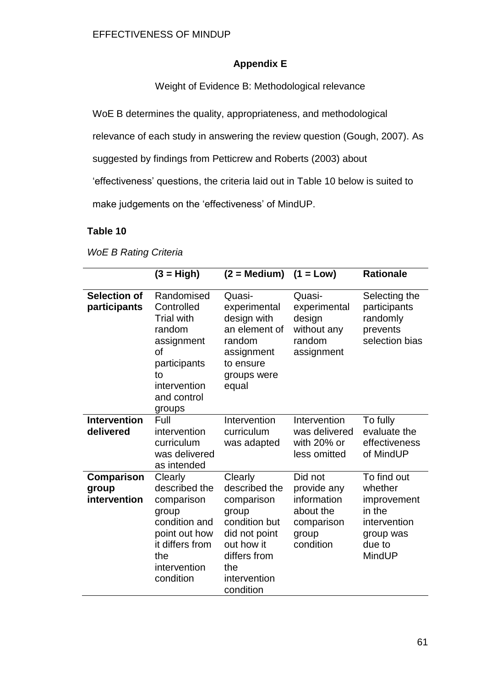### **Appendix E**

Weight of Evidence B: Methodological relevance

WoE B determines the quality, appropriateness, and methodological

relevance of each study in answering the review question (Gough, 2007). As

suggested by findings from Petticrew and Roberts (2003) about

'effectiveness' questions, the criteria laid out in Table 10 below is suited to

make judgements on the 'effectiveness' of MindUP.

### **Table 10**

*WoE B Rating Criteria*

|                                     | $(3 = High)$                                                                                                                               | $(2 = Medium)$ $(1 = Low)$                                                                                                                          |                                                                                        | <b>Rationale</b>                                                                                        |
|-------------------------------------|--------------------------------------------------------------------------------------------------------------------------------------------|-----------------------------------------------------------------------------------------------------------------------------------------------------|----------------------------------------------------------------------------------------|---------------------------------------------------------------------------------------------------------|
| <b>Selection of</b><br>participants | Randomised<br>Controlled<br><b>Trial with</b><br>random<br>assignment<br>of<br>participants<br>to<br>intervention<br>and control<br>groups | Quasi-<br>experimental<br>design with<br>an element of<br>random<br>assignment<br>to ensure<br>groups were<br>equal                                 | Quasi-<br>experimental<br>design<br>without any<br>random<br>assignment                | Selecting the<br>participants<br>randomly<br>prevents<br>selection bias                                 |
| <b>Intervention</b><br>delivered    | Full<br>intervention<br>curriculum<br>was delivered<br>as intended                                                                         | Intervention<br>curriculum<br>was adapted                                                                                                           | Intervention<br>was delivered<br>with 20% or<br>less omitted                           | To fully<br>evaluate the<br>effectiveness<br>of MindUP                                                  |
| Comparison<br>group<br>intervention | Clearly<br>described the<br>comparison<br>group<br>condition and<br>point out how<br>it differs from<br>the<br>intervention<br>condition   | Clearly<br>described the<br>comparison<br>group<br>condition but<br>did not point<br>out how it<br>differs from<br>the<br>intervention<br>condition | Did not<br>provide any<br>information<br>about the<br>comparison<br>group<br>condition | To find out<br>whether<br>improvement<br>in the<br>intervention<br>group was<br>due to<br><b>MindUP</b> |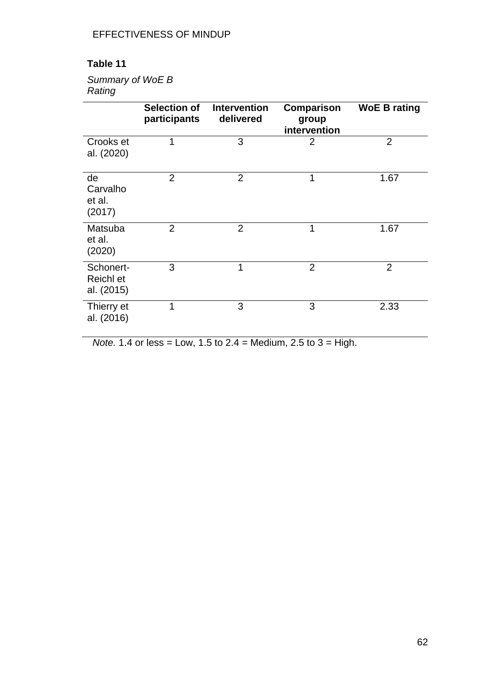## **Table 11**

### *Summary of WoE B Rating*

|                                      | Selection of<br>participants | <b>Intervention</b><br>delivered | <b>Comparison</b><br>group<br>intervention | <b>WoE B rating</b> |
|--------------------------------------|------------------------------|----------------------------------|--------------------------------------------|---------------------|
| Crooks et<br>al. (2020)              | 1                            | 3                                | $\overline{2}$                             | $\overline{2}$      |
| de<br>Carvalho<br>et al.<br>(2017)   | 2                            | $\overline{2}$                   | 1                                          | 1.67                |
| Matsuba<br>et al.<br>(2020)          | 2                            | $\overline{2}$                   | 1                                          | 1.67                |
| Schonert-<br>Reichl et<br>al. (2015) | 3                            | 1                                | $\overline{2}$                             | $\overline{2}$      |
| Thierry et<br>al. (2016)             | 1                            | 3                                | 3                                          | 2.33                |

*Note.* 1.4 or less = Low, 1.5 to 2.4 = Medium, 2.5 to 3 = High.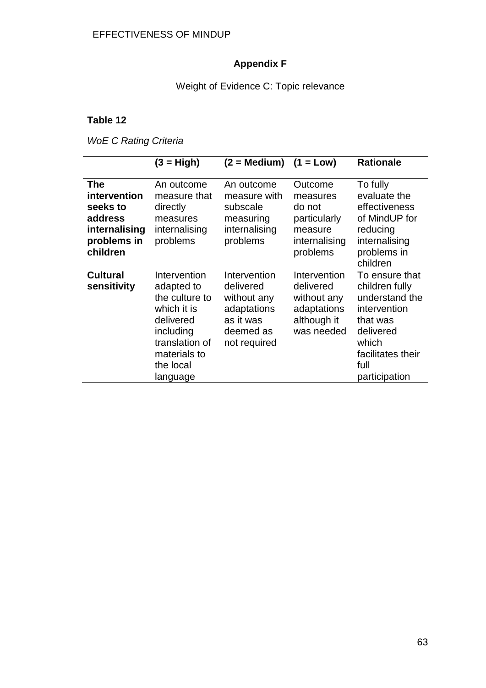### **Appendix F**

### Weight of Evidence C: Topic relevance

### **Table 12**

*WoE C Rating Criteria*

|                                                                                               | $(3 = High)$                                                                                                                                     | $(2 = \text{Median})$                                                                             | $(1 = Low)$                                                                           | <b>Rationale</b>                                                                                                                                   |
|-----------------------------------------------------------------------------------------------|--------------------------------------------------------------------------------------------------------------------------------------------------|---------------------------------------------------------------------------------------------------|---------------------------------------------------------------------------------------|----------------------------------------------------------------------------------------------------------------------------------------------------|
| <b>The</b><br>intervention<br>seeks to<br>address<br>internalising<br>problems in<br>children | An outcome<br>measure that<br>directly<br>measures<br>internalising<br>problems                                                                  | An outcome<br>measure with<br>subscale<br>measuring<br>internalising<br>problems                  | Outcome<br>measures<br>do not<br>particularly<br>measure<br>internalising<br>problems | To fully<br>evaluate the<br>effectiveness<br>of MindUP for<br>reducing<br>internalising<br>problems in<br>children                                 |
| <b>Cultural</b><br>sensitivity                                                                | Intervention<br>adapted to<br>the culture to<br>which it is<br>delivered<br>including<br>translation of<br>materials to<br>the local<br>language | Intervention<br>delivered<br>without any<br>adaptations<br>as it was<br>deemed as<br>not required | Intervention<br>delivered<br>without any<br>adaptations<br>although it<br>was needed  | To ensure that<br>children fully<br>understand the<br>intervention<br>that was<br>delivered<br>which<br>facilitates their<br>full<br>participation |